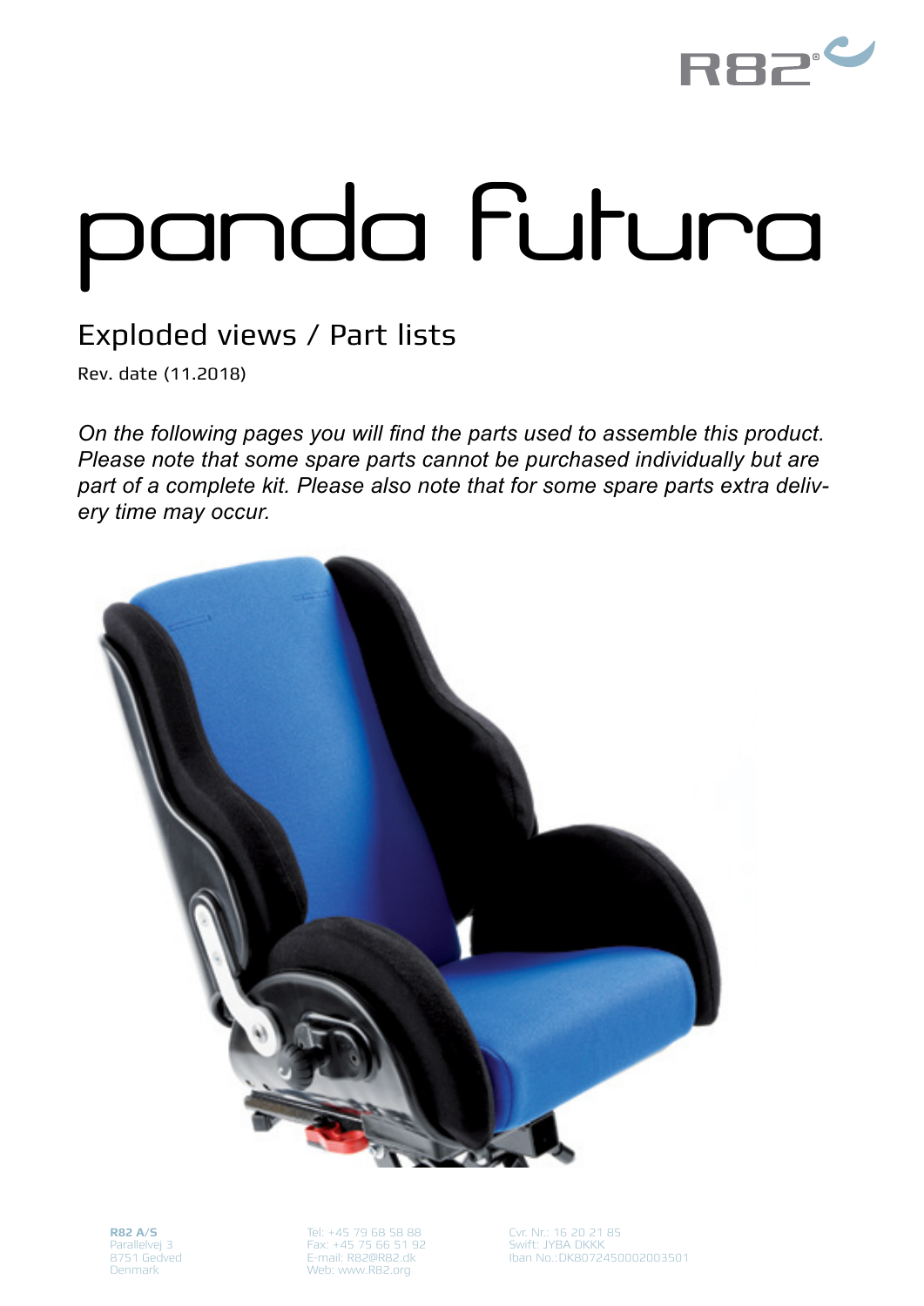

## panda futura

## Exploded views / Part lists

Rev. date (11.2018)

*On the following pages you will find the parts used to assemble this product. Please note that some spare parts cannot be purchased individually but are part of a complete kit. Please also note that for some spare parts extra delivery time may occur.*



**R82 A/S** Parallelvej 3 8751 Gedved Denmark

Tel: +45 79 68 58 88 Fax: +45 75 66 51 92 E-mail: R82@R82.dk Web: www.R82.org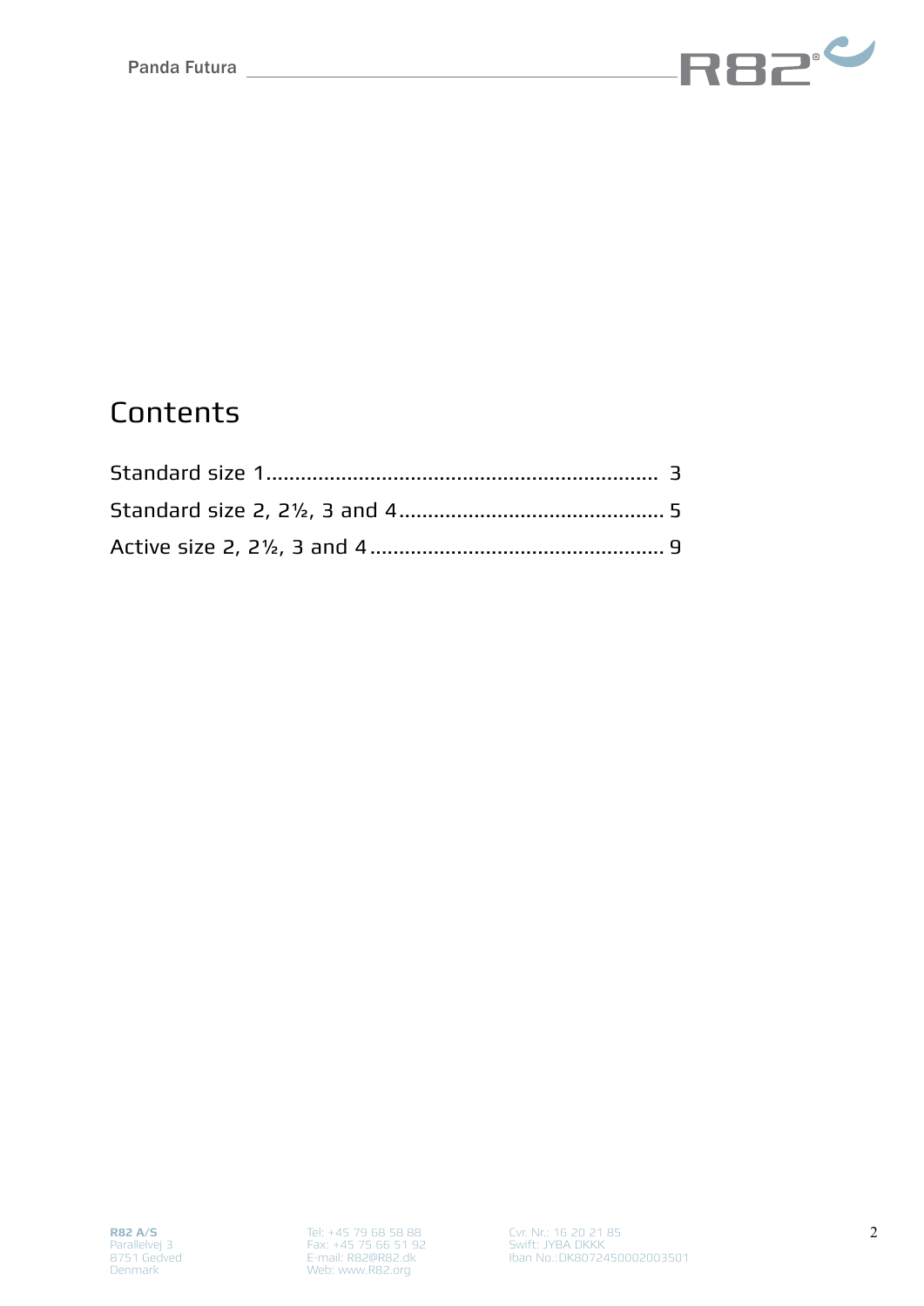

## **Contents**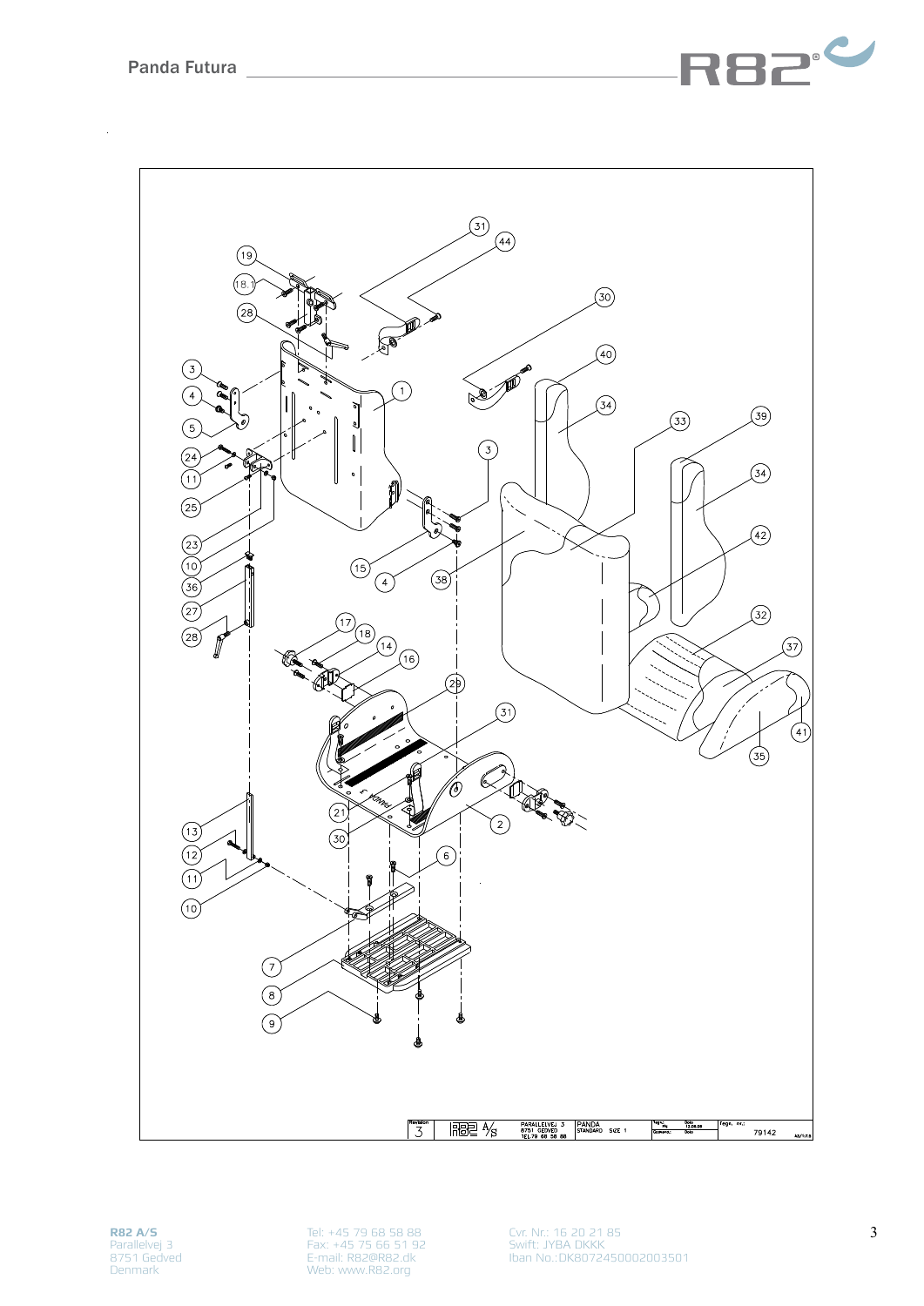

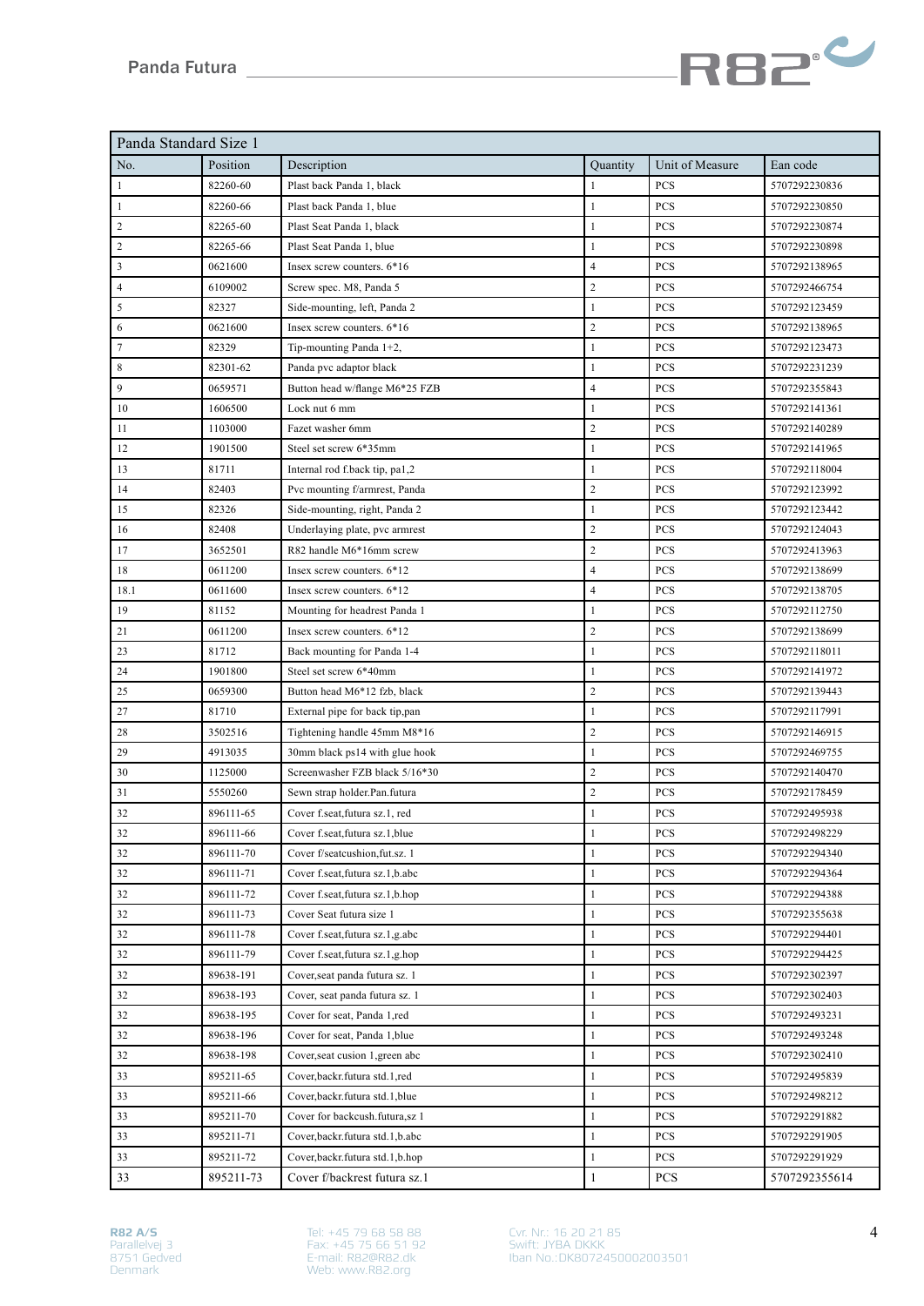

| Panda Standard Size 1 |           |                                     |                         |                 |               |
|-----------------------|-----------|-------------------------------------|-------------------------|-----------------|---------------|
| No.                   | Position  | Description                         | Quantity                | Unit of Measure | Ean code      |
| $\mathbf{1}$          | 82260-60  | Plast back Panda 1, black           | $\mathbf{1}$            | <b>PCS</b>      | 5707292230836 |
| $\mathbf{1}$          | 82260-66  | Plast back Panda 1, blue            | $\mathbf{1}$            | PCS             | 5707292230850 |
| $\sqrt{2}$            | 82265-60  | Plast Seat Panda 1, black           | $\mathbf{1}$            | <b>PCS</b>      | 5707292230874 |
| 2                     | 82265-66  | Plast Seat Panda 1, blue            | $\mathbf{1}$            | <b>PCS</b>      | 5707292230898 |
| 3                     | 0621600   | Insex screw counters. 6*16          | $\overline{4}$          | PCS             | 5707292138965 |
| $\overline{4}$        | 6109002   | Screw spec. M8, Panda 5             | $\overline{2}$          | PCS             | 5707292466754 |
| 5                     | 82327     | Side-mounting, left, Panda 2        | $\mathbf{1}$            | PCS             | 5707292123459 |
| 6                     | 0621600   | Insex screw counters, 6*16          | $\sqrt{2}$              | PCS             | 5707292138965 |
| $\tau$                | 82329     | Tip-mounting Panda 1+2,             | $\mathbf{1}$            | <b>PCS</b>      | 5707292123473 |
| 8                     | 82301-62  | Panda pvc adaptor black             | $\mathbf{1}$            | <b>PCS</b>      | 5707292231239 |
| 9                     | 0659571   | Button head w/flange M6*25 FZB      | $\overline{4}$          | PCS             | 5707292355843 |
| 10                    | 1606500   | Lock nut 6 mm                       | $\mathbf{1}$            | PCS             | 5707292141361 |
| 11                    | 1103000   | Fazet washer 6mm                    | $\sqrt{2}$              | PCS             | 5707292140289 |
| 12                    | 1901500   | Steel set screw 6*35mm              | $\mathbf{1}$            | PCS             | 5707292141965 |
| 13                    | 81711     | Internal rod f.back tip, pa1,2      | $\mathbf{1}$            | PCS             | 5707292118004 |
| 14                    | 82403     | Pvc mounting f/armrest, Panda       | $\sqrt{2}$              | PCS             | 5707292123992 |
| 15                    | 82326     | Side-mounting, right, Panda 2       | $\mathbf{1}$            | <b>PCS</b>      | 5707292123442 |
| 16                    | 82408     | Underlaying plate, pvc armrest      | $\sqrt{2}$              | PCS             | 5707292124043 |
| 17                    | 3652501   | R82 handle M6*16mm screw            | $\overline{2}$          | PCS             | 5707292413963 |
| 18                    | 0611200   | Insex screw counters. 6*12          | $\overline{4}$          | <b>PCS</b>      | 5707292138699 |
| 18.1                  | 0611600   | Insex screw counters. 6*12          | $\overline{\mathbf{4}}$ | PCS             | 5707292138705 |
| 19                    | 81152     | Mounting for headrest Panda 1       | $\mathbf{1}$            | PCS             | 5707292112750 |
| 21                    | 0611200   | Insex screw counters. 6*12          | $\overline{2}$          | PCS             | 5707292138699 |
| 23                    | 81712     | Back mounting for Panda 1-4         | $\mathbf{1}$            | PCS             | 5707292118011 |
| 24                    | 1901800   | Steel set screw 6*40mm              | $\mathbf{1}$            | PCS             | 5707292141972 |
| 25                    | 0659300   | Button head M6*12 fzb, black        | $\sqrt{2}$              | <b>PCS</b>      | 5707292139443 |
| 27                    | 81710     | External pipe for back tip, pan     | $\mathbf{1}$            | <b>PCS</b>      | 5707292117991 |
| 28                    | 3502516   | Tightening handle 45mm M8*16        | $\sqrt{2}$              | PCS             | 5707292146915 |
| 29                    | 4913035   | 30mm black ps14 with glue hook      | $\mathbf{1}$            | PCS             | 5707292469755 |
| 30                    | 1125000   | Screenwasher FZB black 5/16*30      | $\sqrt{2}$              | PCS             | 5707292140470 |
| 31                    | 5550260   | Sewn strap holder.Pan.futura        | $\sqrt{2}$              | PCS             | 5707292178459 |
| 32                    | 896111-65 | Cover f.seat, futura sz.1, red      | $\mathbf{1}$            | PCS             | 5707292495938 |
| 32                    | 896111-66 | Cover f.seat, futura sz.1, blue     | 1                       | PCS             | 5707292498229 |
| 32                    | 896111-70 | Cover f/seatcushion.fut.sz. 1       | $\mathbf{1}$            | PCS             | 5707292294340 |
| 32                    | 896111-71 | Cover f.seat, futura sz.1, b.abc    | $\mathbf{1}$            | PCS             | 5707292294364 |
| 32                    | 896111-72 | Cover f.seat, futura sz.1, b.hop    | $\mathbf{1}$            | PCS             | 5707292294388 |
| 32                    | 896111-73 | Cover Seat futura size 1            | $\mathbf{1}$            | PCS             | 5707292355638 |
| 32                    | 896111-78 | Cover f.seat, futura sz.1, g.abc    | $\mathbf{1}$            | PCS             | 5707292294401 |
| 32                    | 896111-79 | Cover f.seat, futura sz.1, g.hop    | $\mathbf{1}$            | PCS             | 5707292294425 |
| 32                    | 89638-191 | Cover, seat panda futura sz. 1      | $\mathbf{1}$            | PCS             | 5707292302397 |
| 32                    | 89638-193 | Cover, seat panda futura sz. 1      | $\mathbf{1}$            | PCS             | 5707292302403 |
| 32                    | 89638-195 | Cover for seat, Panda 1,red         | $\mathbf{1}$            | PCS             | 5707292493231 |
| 32                    | 89638-196 | Cover for seat, Panda 1, blue       | $\mathbf{1}$            | PCS             | 5707292493248 |
| 32                    | 89638-198 | Cover, seat cusion 1, green abc     | $\mathbf{1}$            | <b>PCS</b>      | 5707292302410 |
| 33                    | 895211-65 | Cover, backr.futura std.1, red      | $\mathbf{1}$            | PCS             | 5707292495839 |
| 33                    | 895211-66 | Cover, backr. futura std. 1, blue   | $\mathbf{1}$            | PCS             | 5707292498212 |
| 33                    | 895211-70 | Cover for backcush.futura,sz 1      | $\mathbf{1}$            | PCS             | 5707292291882 |
| 33                    | 895211-71 | Cover, backr. futura std. 1, b. abc | $\mathbf{1}$            | PCS             | 5707292291905 |
| 33                    | 895211-72 | Cover, backr. futura std. 1, b. hop | $\mathbf{1}$            | <b>PCS</b>      | 5707292291929 |
| 33                    | 895211-73 | Cover f/backrest futura sz.1        | $\mathbf{1}$            | PCS             | 5707292355614 |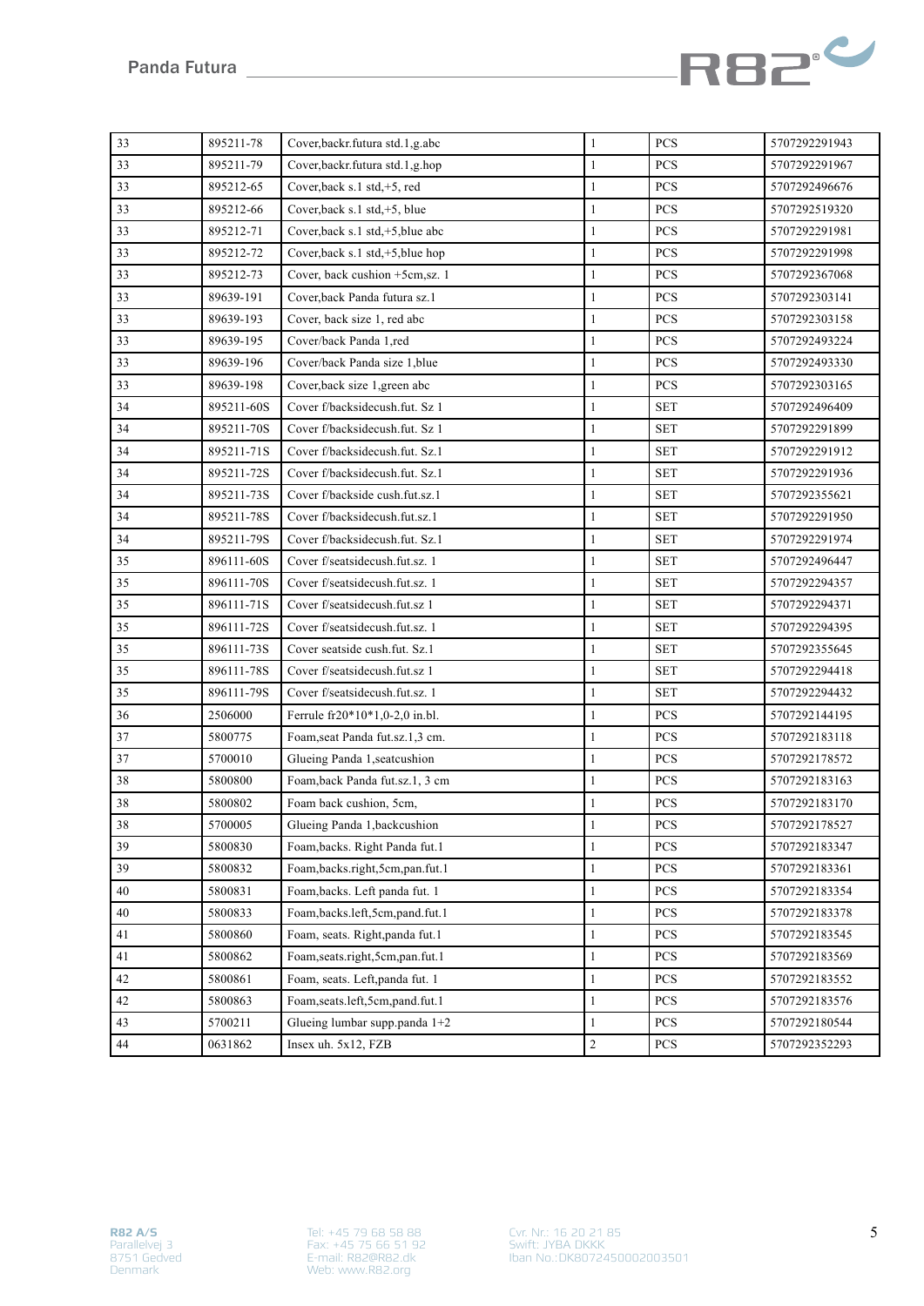

| 33 | 895211-78  | Cover, backr. futura std. 1, g. abc | $\mathbf{1}$ | <b>PCS</b>              | 5707292291943 |
|----|------------|-------------------------------------|--------------|-------------------------|---------------|
| 33 | 895211-79  | Cover, backr. futura std. 1, g. hop | $\mathbf{1}$ | PCS                     | 5707292291967 |
| 33 | 895212-65  | Cover, back s.1 std, +5, red        | $\mathbf{1}$ | <b>PCS</b>              | 5707292496676 |
| 33 | 895212-66  | Cover, back s.1 std, $+5$ , blue    | $\mathbf{1}$ | PCS                     | 5707292519320 |
| 33 | 895212-71  | Cover, back s.1 std, +5, blue abc   | $\mathbf{1}$ | PCS                     | 5707292291981 |
| 33 | 895212-72  | Cover, back s.1 std, +5, blue hop   | $\mathbf{1}$ | PCS                     | 5707292291998 |
| 33 | 895212-73  | Cover, back cushion +5cm,sz. 1      | $\mathbf{1}$ | PCS                     | 5707292367068 |
| 33 | 89639-191  | Cover, back Panda futura sz.1       | $\mathbf{1}$ | PCS                     | 5707292303141 |
| 33 | 89639-193  | Cover, back size 1, red abc         | 1            | <b>PCS</b>              | 5707292303158 |
| 33 | 89639-195  | Cover/back Panda 1,red              | $\mathbf{1}$ | <b>PCS</b>              | 5707292493224 |
| 33 | 89639-196  | Cover/back Panda size 1, blue       | $\mathbf{1}$ | PCS                     | 5707292493330 |
| 33 | 89639-198  | Cover, back size 1, green abc       | $\mathbf{1}$ | PCS                     | 5707292303165 |
| 34 | 895211-60S | Cover f/backsidecush.fut. Sz 1      | $\mathbf{1}$ | <b>SET</b>              | 5707292496409 |
| 34 | 895211-70S | Cover f/backsidecush.fut. Sz 1      | $\mathbf{1}$ | <b>SET</b>              | 5707292291899 |
| 34 | 895211-71S | Cover f/backsidecush.fut. Sz.1      | $\mathbf{1}$ | <b>SET</b>              | 5707292291912 |
| 34 | 895211-72S | Cover f/backsidecush.fut. Sz.1      | $\mathbf{1}$ | <b>SET</b>              | 5707292291936 |
| 34 | 895211-73S | Cover f/backside cush.fut.sz.1      | $\mathbf{1}$ | <b>SET</b>              | 5707292355621 |
| 34 | 895211-78S | Cover f/backsidecush.fut.sz.1       | $\mathbf{1}$ | <b>SET</b>              | 5707292291950 |
| 34 | 895211-79S | Cover f/backsidecush.fut. Sz.1      | $\mathbf{1}$ | <b>SET</b>              | 5707292291974 |
| 35 | 896111-60S | Cover f/seatsidecush.fut.sz. 1      | $\mathbf{1}$ | <b>SET</b>              | 5707292496447 |
| 35 | 896111-70S | Cover f/seatsidecush.fut.sz. 1      | $\mathbf{1}$ | <b>SET</b>              | 5707292294357 |
| 35 | 896111-71S | Cover f/seatsidecush.fut.sz 1       | $\mathbf{1}$ | <b>SET</b>              | 5707292294371 |
| 35 | 896111-72S | Cover f/seatsidecush.fut.sz. 1      | $\mathbf{1}$ | <b>SET</b>              | 5707292294395 |
| 35 | 896111-73S | Cover seatside cush.fut. Sz.1       | $\mathbf{1}$ | <b>SET</b>              | 5707292355645 |
| 35 | 896111-78S | Cover f/seatsidecush.fut.sz 1       | $\mathbf{1}$ | <b>SET</b>              | 5707292294418 |
| 35 | 896111-79S | Cover f/seatsidecush.fut.sz. 1      | $\mathbf{1}$ | <b>SET</b>              | 5707292294432 |
| 36 | 2506000    | Ferrule fr20*10*1,0-2,0 in.bl.      | $\mathbf{1}$ | <b>PCS</b>              | 5707292144195 |
| 37 | 5800775    | Foam, seat Panda fut.sz.1,3 cm.     | $\mathbf{1}$ | PCS                     | 5707292183118 |
| 37 | 5700010    | Glueing Panda 1, seatcushion        | $\mathbf{1}$ | PCS                     | 5707292178572 |
| 38 | 5800800    | Foam, back Panda fut.sz.1, 3 cm     | $\mathbf{1}$ | <b>PCS</b>              | 5707292183163 |
| 38 | 5800802    | Foam back cushion, 5cm,             | 1            | <b>PCS</b>              | 5707292183170 |
| 38 | 5700005    | Glueing Panda 1, backcushion        | $\mathbf{1}$ | ${\mbox{\textsf{PCS}}}$ | 5707292178527 |
| 39 | 5800830    | Foam, backs. Right Panda fut.1      | $\mathbf{1}$ | <b>PCS</b>              | 5707292183347 |
| 39 | 5800832    | Foam,backs.right,5cm,pan.fut.1      | $\mathbf{1}$ | PCS                     | 5707292183361 |
| 40 | 5800831    | Foam, backs. Left panda fut. 1      | $\mathbf{1}$ | PCS                     | 5707292183354 |
| 40 | 5800833    | Foam,backs.left,5cm,pand.fut.1      | 1            | <b>PCS</b>              | 5707292183378 |
| 41 | 5800860    | Foam, seats. Right, panda fut.1     | $\mathbf{1}$ | PCS                     | 5707292183545 |
| 41 | 5800862    | Foam, seats.right, 5cm, pan.fut.1   | $\mathbf{1}$ | PCS                     | 5707292183569 |
| 42 | 5800861    | Foam, seats. Left, panda fut. 1     | $\mathbf{1}$ | PCS                     | 5707292183552 |
| 42 | 5800863    | Foam, seats.left, 5cm, pand.fut.1   | 1            | PCS                     | 5707292183576 |
| 43 | 5700211    | Glueing lumbar supp.panda 1+2       | $\mathbf{1}$ | <b>PCS</b>              | 5707292180544 |
| 44 | 0631862    | Insex uh. $5x12$ , $FZB$            | $\sqrt{2}$   | PCS                     | 5707292352293 |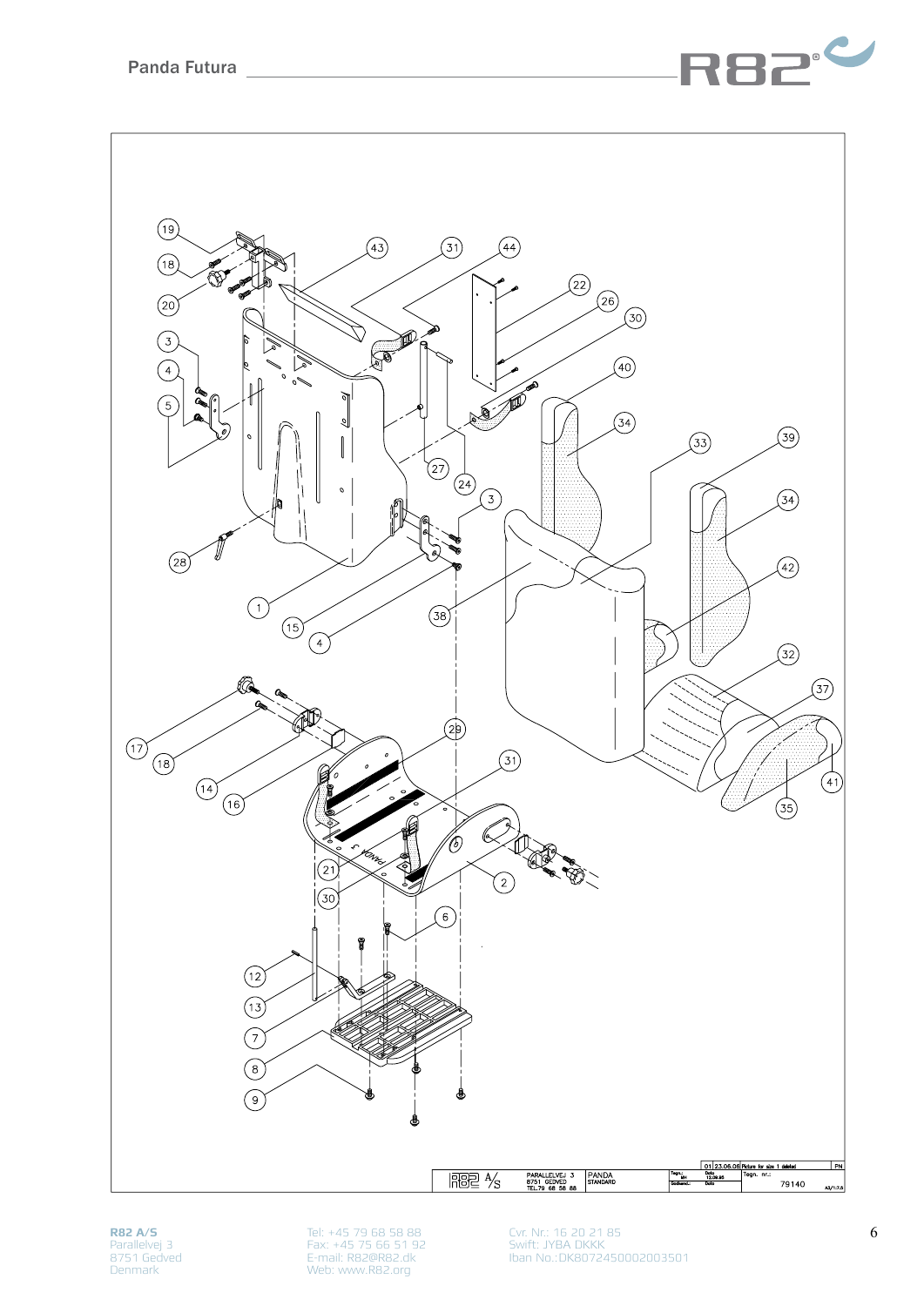

**R82 A/S** Parallelvej 3 8751 Gedved Denmark

Tel: +45 79 68 58 88 Fax: +45 75 66 51 92 E-mail: R82@R82.dk Web: www.R82.org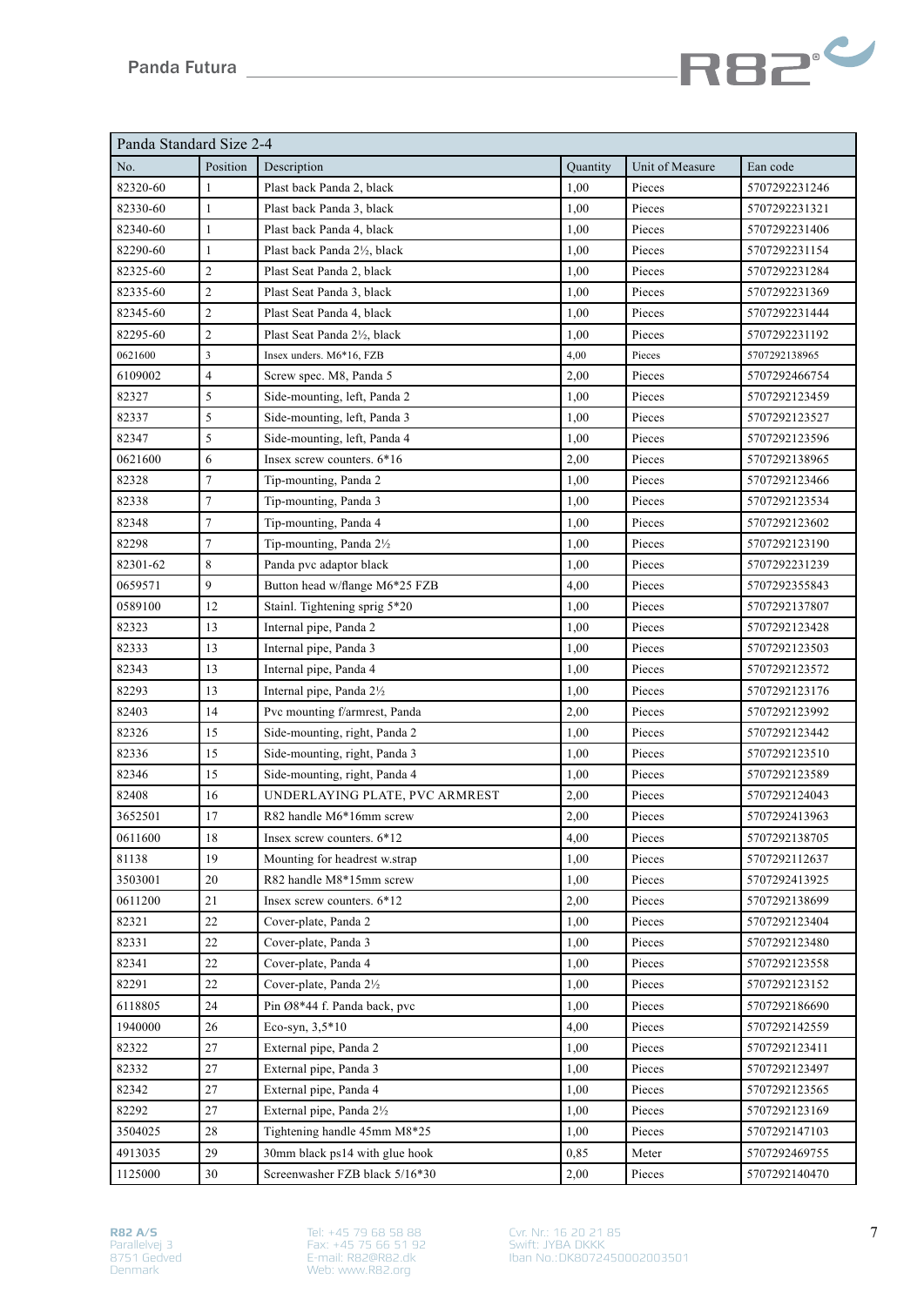

| Panda Standard Size 2-4 |                |                                |          |                 |               |  |
|-------------------------|----------------|--------------------------------|----------|-----------------|---------------|--|
| No.                     | Position       | Description                    | Quantity | Unit of Measure | Ean code      |  |
| 82320-60                | $\mathbf{1}$   | Plast back Panda 2, black      | 1,00     | Pieces          | 5707292231246 |  |
| 82330-60                | $\mathbf{1}$   | Plast back Panda 3, black      | 1,00     | Pieces          | 5707292231321 |  |
| 82340-60                | $\mathbf{1}$   | Plast back Panda 4, black      | 1,00     | Pieces          | 5707292231406 |  |
| 82290-60                | $\mathbf{1}$   | Plast back Panda 2½, black     | 1,00     | Pieces          | 5707292231154 |  |
| 82325-60                | $\mathbf{2}$   | Plast Seat Panda 2, black      | 1,00     | Pieces          | 5707292231284 |  |
| 82335-60                | $\overline{c}$ | Plast Seat Panda 3, black      | 1,00     | Pieces          | 5707292231369 |  |
| 82345-60                | $\sqrt{2}$     | Plast Seat Panda 4, black      | 1,00     | Pieces          | 5707292231444 |  |
| 82295-60                | $\mathfrak{2}$ | Plast Seat Panda 21/2, black   | 1,00     | Pieces          | 5707292231192 |  |
| 0621600                 | $\overline{3}$ | Insex unders. M6*16, FZB       | 4,00     | Pieces          | 5707292138965 |  |
| 6109002                 | $\overline{4}$ | Screw spec. M8, Panda 5        | 2,00     | Pieces          | 5707292466754 |  |
| 82327                   | 5              | Side-mounting, left, Panda 2   | 1,00     | Pieces          | 5707292123459 |  |
| 82337                   | 5              | Side-mounting, left, Panda 3   | 1,00     | Pieces          | 5707292123527 |  |
| 82347                   | 5              | Side-mounting, left, Panda 4   | 1,00     | Pieces          | 5707292123596 |  |
| 0621600                 | 6              | Insex screw counters. 6*16     | 2,00     | Pieces          | 5707292138965 |  |
| 82328                   | $\tau$         | Tip-mounting, Panda 2          | 1,00     | Pieces          | 5707292123466 |  |
| 82338                   | $\tau$         | Tip-mounting, Panda 3          | 1,00     | Pieces          | 5707292123534 |  |
| 82348                   | $\tau$         | Tip-mounting, Panda 4          | 1,00     | Pieces          | 5707292123602 |  |
| 82298                   | $\sqrt{ }$     | Tip-mounting, Panda 21/2       | 1,00     | Pieces          | 5707292123190 |  |
| 82301-62                | 8              | Panda pvc adaptor black        | 1,00     | Pieces          | 5707292231239 |  |
| 0659571                 | 9              | Button head w/flange M6*25 FZB | 4,00     | Pieces          | 5707292355843 |  |
| 0589100                 | 12             | Stainl. Tightening sprig 5*20  | 1,00     | Pieces          | 5707292137807 |  |
| 82323                   | 13             | Internal pipe, Panda 2         | 1,00     | Pieces          | 5707292123428 |  |
| 82333                   | 13             | Internal pipe, Panda 3         | 1,00     | Pieces          | 5707292123503 |  |
| 82343                   | 13             | Internal pipe, Panda 4         | 1,00     | Pieces          | 5707292123572 |  |
| 82293                   | 13             | Internal pipe, Panda 21/2      | 1,00     | Pieces          | 5707292123176 |  |
| 82403                   | 14             | Pvc mounting f/armrest, Panda  | 2,00     | Pieces          | 5707292123992 |  |
| 82326                   | 15             | Side-mounting, right, Panda 2  | 1,00     | Pieces          | 5707292123442 |  |
| 82336                   | 15             | Side-mounting, right, Panda 3  | 1,00     | Pieces          | 5707292123510 |  |
| 82346                   | 15             | Side-mounting, right, Panda 4  | 1,00     | Pieces          | 5707292123589 |  |
| 82408                   | 16             | UNDERLAYING PLATE, PVC ARMREST | 2,00     | Pieces          | 5707292124043 |  |
| 3652501                 | 17             | R82 handle M6*16mm screw       | 2,00     | Pieces          | 5707292413963 |  |
| 0611600                 | 18             | Insex screw counters. 6*12     | 4,00     | Pieces          | 5707292138705 |  |
| 81138                   | 19             | Mounting for headrest w.strap  | 1,00     | Pieces          | 5707292112637 |  |
| 3503001                 | 20             | R82 handle M8*15mm screw       | 1,00     | Pieces          | 5707292413925 |  |
| 0611200                 | 21             | Insex screw counters. 6*12     | 2,00     | Pieces          | 5707292138699 |  |
| 82321                   | 22             | Cover-plate, Panda 2           | 1,00     | Pieces          | 5707292123404 |  |
| 82331                   | 22             | Cover-plate, Panda 3           | 1,00     | Pieces          | 5707292123480 |  |
| 82341                   | 22             | Cover-plate, Panda 4           | 1,00     | Pieces          | 5707292123558 |  |
| 82291                   | 22             | Cover-plate, Panda 21/2        | 1,00     | Pieces          | 5707292123152 |  |
| 6118805                 | 24             | Pin Ø8*44 f. Panda back, pvc   | 1,00     | Pieces          | 5707292186690 |  |
| 1940000                 | $26\,$         | Eco-syn, 3,5*10                | 4,00     | Pieces          | 5707292142559 |  |
| 82322                   | 27             | External pipe, Panda 2         | 1,00     | Pieces          | 5707292123411 |  |
| 82332                   | 27             | External pipe, Panda 3         | 1,00     | Pieces          | 5707292123497 |  |
| 82342                   | 27             | External pipe, Panda 4         | 1,00     | Pieces          | 5707292123565 |  |
| 82292                   | $27\,$         | External pipe, Panda 21/2      | 1,00     | Pieces          | 5707292123169 |  |
| 3504025                 | 28             | Tightening handle 45mm M8*25   | 1,00     | Pieces          | 5707292147103 |  |
| 4913035                 | 29             | 30mm black ps14 with glue hook | 0,85     | Meter           | 5707292469755 |  |
| 1125000                 | 30             | Screenwasher FZB black 5/16*30 | 2,00     | Pieces          | 5707292140470 |  |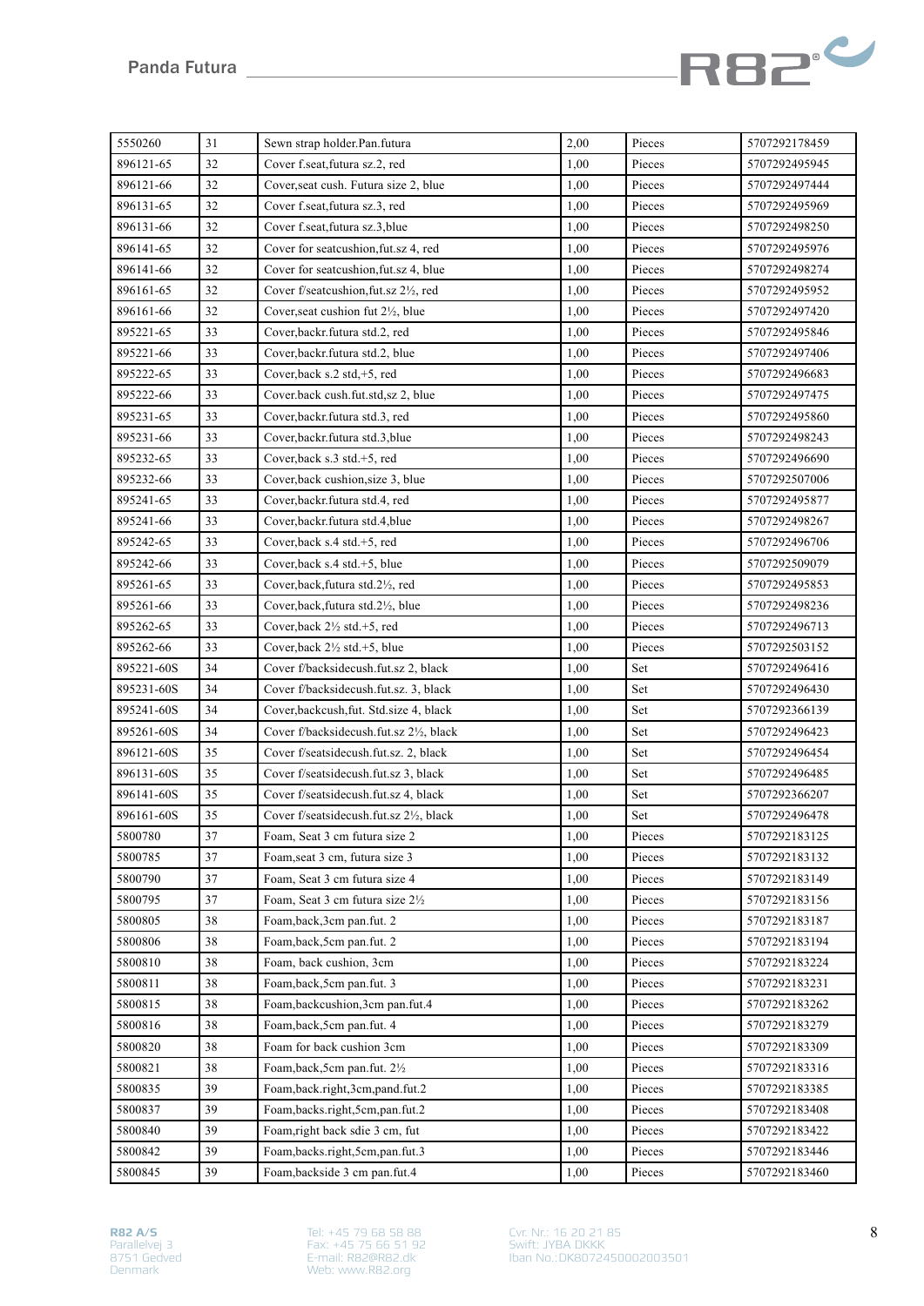

| 5550260    | 31 | Sewn strap holder.Pan.futura              | 2,00 | Pieces | 5707292178459 |
|------------|----|-------------------------------------------|------|--------|---------------|
| 896121-65  | 32 | Cover f.seat, futura sz.2, red            | 1,00 | Pieces | 5707292495945 |
| 896121-66  | 32 | Cover, seat cush. Futura size 2, blue     | 1,00 | Pieces | 5707292497444 |
| 896131-65  | 32 | Cover f.seat, futura sz.3, red            | 1,00 | Pieces | 5707292495969 |
| 896131-66  | 32 | Cover f.seat, futura sz.3, blue           | 1,00 | Pieces | 5707292498250 |
| 896141-65  | 32 | Cover for seatcushion, fut.sz 4, red      | 1,00 | Pieces | 5707292495976 |
| 896141-66  | 32 | Cover for seatcushion, fut.sz 4, blue     | 1,00 | Pieces | 5707292498274 |
| 896161-65  | 32 | Cover f/seatcushion, fut.sz 2½, red       | 1,00 | Pieces | 5707292495952 |
| 896161-66  | 32 | Cover, seat cushion fut 21/2, blue        | 1,00 | Pieces | 5707292497420 |
| 895221-65  | 33 | Cover, backr. futura std.2, red           | 1,00 | Pieces | 5707292495846 |
| 895221-66  | 33 | Cover, backr. futura std.2, blue          | 1,00 | Pieces | 5707292497406 |
| 895222-65  | 33 | Cover, back s.2 std, +5, red              | 1,00 | Pieces | 5707292496683 |
| 895222-66  | 33 | Cover.back cush.fut.std,sz 2, blue        | 1,00 | Pieces | 5707292497475 |
| 895231-65  | 33 | Cover, backr. futura std.3, red           | 1,00 | Pieces | 5707292495860 |
| 895231-66  | 33 | Cover, backr. futura std. 3, blue         | 1,00 | Pieces | 5707292498243 |
| 895232-65  | 33 | Cover, back s.3 std.+5, red               | 1,00 | Pieces | 5707292496690 |
| 895232-66  | 33 | Cover, back cushion, size 3, blue         | 1,00 | Pieces | 5707292507006 |
| 895241-65  | 33 | Cover, backr. futura std. 4, red          | 1,00 | Pieces | 5707292495877 |
| 895241-66  | 33 | Cover, backr. futura std. 4, blue<br>1,00 |      | Pieces | 5707292498267 |
| 895242-65  | 33 | Cover, back $s.4 \text{ std.}+5$ , red    | 1,00 | Pieces | 5707292496706 |
| 895242-66  | 33 | Cover, back s.4 std.+5, blue              | 1,00 | Pieces | 5707292509079 |
| 895261-65  | 33 | Cover, back, futura std. 2½, red          | 1,00 | Pieces | 5707292495853 |
| 895261-66  | 33 | Cover, back, futura std. 2½, blue         | 1,00 | Pieces | 5707292498236 |
| 895262-65  | 33 | Cover, back $2\frac{1}{2}$ std. +5, red   | 1,00 | Pieces | 5707292496713 |
| 895262-66  | 33 | Cover, back 2½ std.+5, blue               | 1,00 | Pieces | 5707292503152 |
| 895221-60S | 34 | Cover f/backsidecush.fut.sz 2, black      | 1,00 | Set    | 5707292496416 |
| 895231-60S | 34 | Cover f/backsidecush.fut.sz. 3, black     | 1,00 | Set    | 5707292496430 |
| 895241-60S | 34 | Cover, backcush, fut. Std. size 4, black  | 1,00 | Set    | 5707292366139 |
| 895261-60S | 34 | Cover f/backsidecush.fut.sz 2½, black     | 1,00 | Set    | 5707292496423 |
| 896121-60S | 35 | Cover f/seatsidecush.fut.sz. 2, black     | 1,00 | Set    | 5707292496454 |
| 896131-60S | 35 | Cover f/seatsidecush.fut.sz 3, black      | 1,00 | Set    | 5707292496485 |
| 896141-60S | 35 | Cover f/seatsidecush.fut.sz 4, black      | 1,00 | Set    | 5707292366207 |
| 896161-60S | 35 | Cover f/seatsidecush.fut.sz 2½, black     | 1,00 | Set    | 5707292496478 |
| 5800780    | 37 | Foam, Seat 3 cm futura size 2             | 1,00 | Pieces | 5707292183125 |
| 5800785    | 37 | Foam, seat 3 cm, futura size 3            | 1,00 | Pieces | 5707292183132 |
| 5800790    | 37 | Foam, Seat 3 cm futura size 4             | 1,00 | Pieces | 5707292183149 |
| 5800795    | 37 | Foam, Seat 3 cm futura size 21/2          | 1,00 | Pieces | 5707292183156 |
| 5800805    | 38 | Foam, back, 3cm pan.fut. 2                | 1,00 | Pieces | 5707292183187 |
| 5800806    | 38 | Foam, back, 5cm pan.fut. 2                | 1,00 | Pieces | 5707292183194 |
| 5800810    | 38 | Foam, back cushion, 3cm                   | 1,00 | Pieces | 5707292183224 |
| 5800811    | 38 | Foam, back, 5cm pan.fut. 3                | 1,00 | Pieces | 5707292183231 |
| 5800815    | 38 | Foam, backcushion, 3cm pan.fut.4          | 1,00 | Pieces | 5707292183262 |
| 5800816    | 38 | Foam, back, 5cm pan.fut. 4                | 1,00 | Pieces | 5707292183279 |
| 5800820    | 38 | Foam for back cushion 3cm                 | 1,00 | Pieces | 5707292183309 |
| 5800821    | 38 | Foam, back, 5cm pan.fut. 21/2             | 1,00 | Pieces | 5707292183316 |
| 5800835    | 39 | Foam,back.right,3cm,pand.fut.2            | 1,00 | Pieces | 5707292183385 |
| 5800837    | 39 | Foam,backs.right,5cm,pan.fut.2            | 1,00 | Pieces | 5707292183408 |
| 5800840    | 39 | Foam, right back sdie 3 cm, fut           | 1,00 | Pieces | 5707292183422 |
| 5800842    | 39 | Foam,backs.right,5cm,pan.fut.3            | 1,00 | Pieces | 5707292183446 |
| 5800845    | 39 | Foam, backside 3 cm pan.fut.4             | 1,00 | Pieces | 5707292183460 |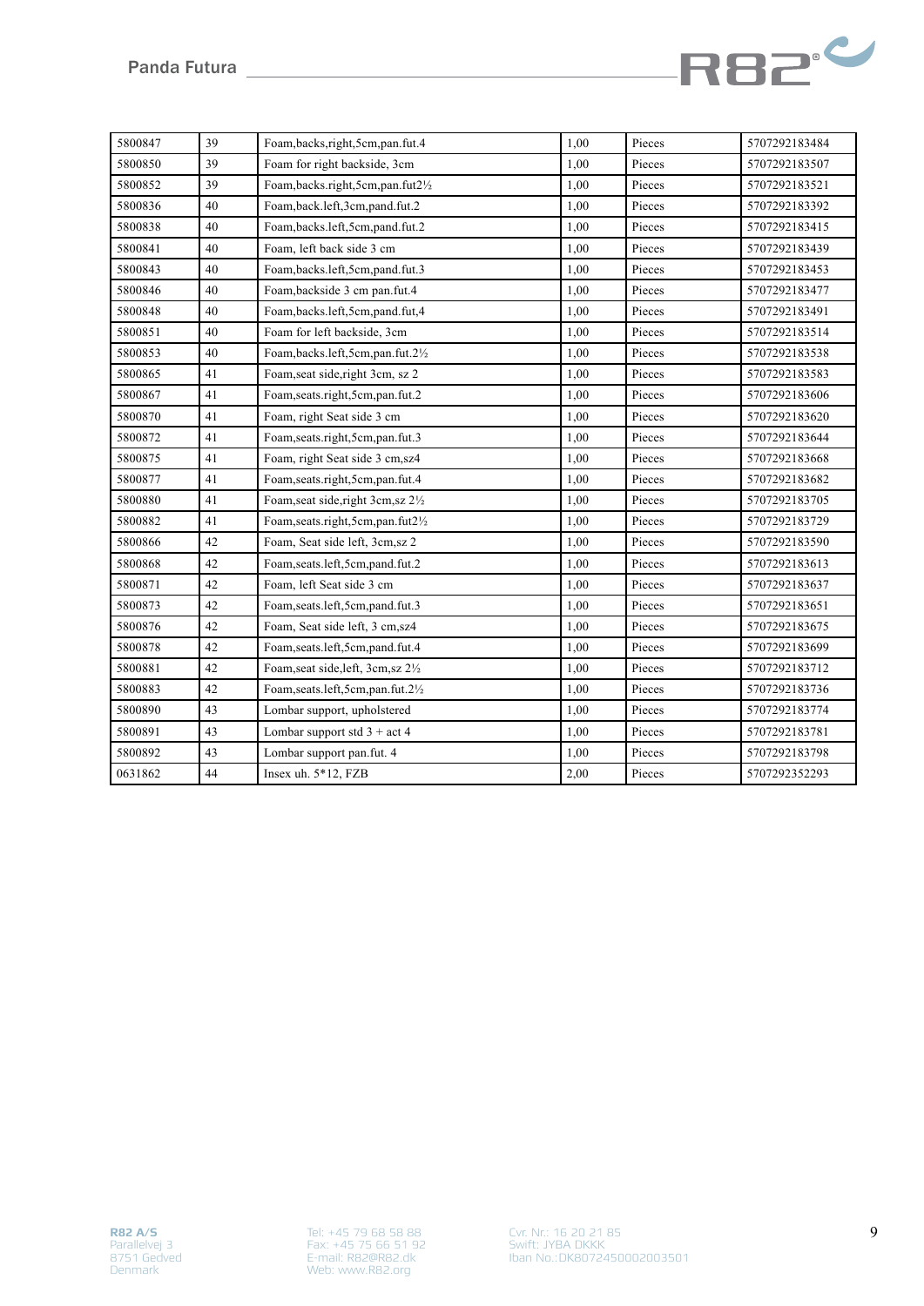

| 5800847 | 39 | Foam, backs, right, 5cm, pan.fut.4  | 1,00 | Pieces | 5707292183484 |
|---------|----|-------------------------------------|------|--------|---------------|
| 5800850 | 39 | Foam for right backside, 3cm        | 1.00 | Pieces | 5707292183507 |
| 5800852 | 39 | Foam,backs.right,5cm,pan.fut21/2    | 1,00 | Pieces | 5707292183521 |
| 5800836 | 40 | Foam,back.left,3cm,pand.fut.2       | 1,00 | Pieces | 5707292183392 |
| 5800838 | 40 | Foam,backs.left,5cm,pand.fut.2      | 1,00 | Pieces | 5707292183415 |
| 5800841 | 40 | Foam, left back side 3 cm           | 1,00 | Pieces | 5707292183439 |
| 5800843 | 40 | Foam,backs.left,5cm,pand.fut.3      | 1,00 | Pieces | 5707292183453 |
| 5800846 | 40 | Foam, backside 3 cm pan.fut.4       | 1,00 | Pieces | 5707292183477 |
| 5800848 | 40 | Foam, backs.left, 5cm, pand.fut, 4  | 1,00 | Pieces | 5707292183491 |
| 5800851 | 40 | Foam for left backside, 3cm         | 1,00 | Pieces | 5707292183514 |
| 5800853 | 40 | Foam, backs.left, 5cm, pan.fut.21/2 | 1,00 | Pieces | 5707292183538 |
| 5800865 | 41 | Foam, seat side, right 3cm, sz 2    | 1,00 | Pieces | 5707292183583 |
| 5800867 | 41 | Foam, seats.right, 5cm, pan.fut.2   | 1,00 | Pieces | 5707292183606 |
| 5800870 | 41 | Foam, right Seat side 3 cm          | 1,00 | Pieces | 5707292183620 |
| 5800872 | 41 | Foam, seats.right, 5cm, pan.fut.3   | 1,00 | Pieces | 5707292183644 |
| 5800875 | 41 | Foam, right Seat side 3 cm, sz4     | 1,00 | Pieces | 5707292183668 |
| 5800877 | 41 | Foam, seats.right, 5cm, pan.fut.4   | 1,00 | Pieces | 5707292183682 |
| 5800880 | 41 | Foam, seat side, right 3cm, sz 21/2 | 1,00 | Pieces | 5707292183705 |
| 5800882 | 41 | Foam, seats.right, 5cm, pan.fut21/2 | 1,00 | Pieces | 5707292183729 |
| 5800866 | 42 | Foam, Seat side left, 3cm, sz 2     | 1,00 | Pieces | 5707292183590 |
| 5800868 | 42 | Foam, seats.left, 5cm, pand.fut.2   | 1,00 | Pieces | 5707292183613 |
| 5800871 | 42 | Foam, left Seat side 3 cm           | 1,00 | Pieces | 5707292183637 |
| 5800873 | 42 | Foam, seats.left, 5cm, pand.fut.3   | 1,00 | Pieces | 5707292183651 |
| 5800876 | 42 | Foam, Seat side left, 3 cm, sz4     | 1,00 | Pieces | 5707292183675 |
| 5800878 | 42 | Foam, seats.left, 5cm, pand.fut.4   | 1,00 | Pieces | 5707292183699 |
| 5800881 | 42 | Foam, seat side, left, 3cm, sz 21/2 | 1,00 | Pieces | 5707292183712 |
| 5800883 | 42 | Foam, seats.left, 5cm, pan.fut.21/2 | 1,00 | Pieces | 5707292183736 |
| 5800890 | 43 | Lombar support, upholstered         | 1,00 | Pieces | 5707292183774 |
| 5800891 | 43 | Lombar support std $3 + act4$       | 1,00 | Pieces | 5707292183781 |
| 5800892 | 43 | Lombar support pan.fut. 4           | 1,00 | Pieces | 5707292183798 |
| 0631862 | 44 | Insex uh. 5*12, FZB                 | 2,00 | Pieces | 5707292352293 |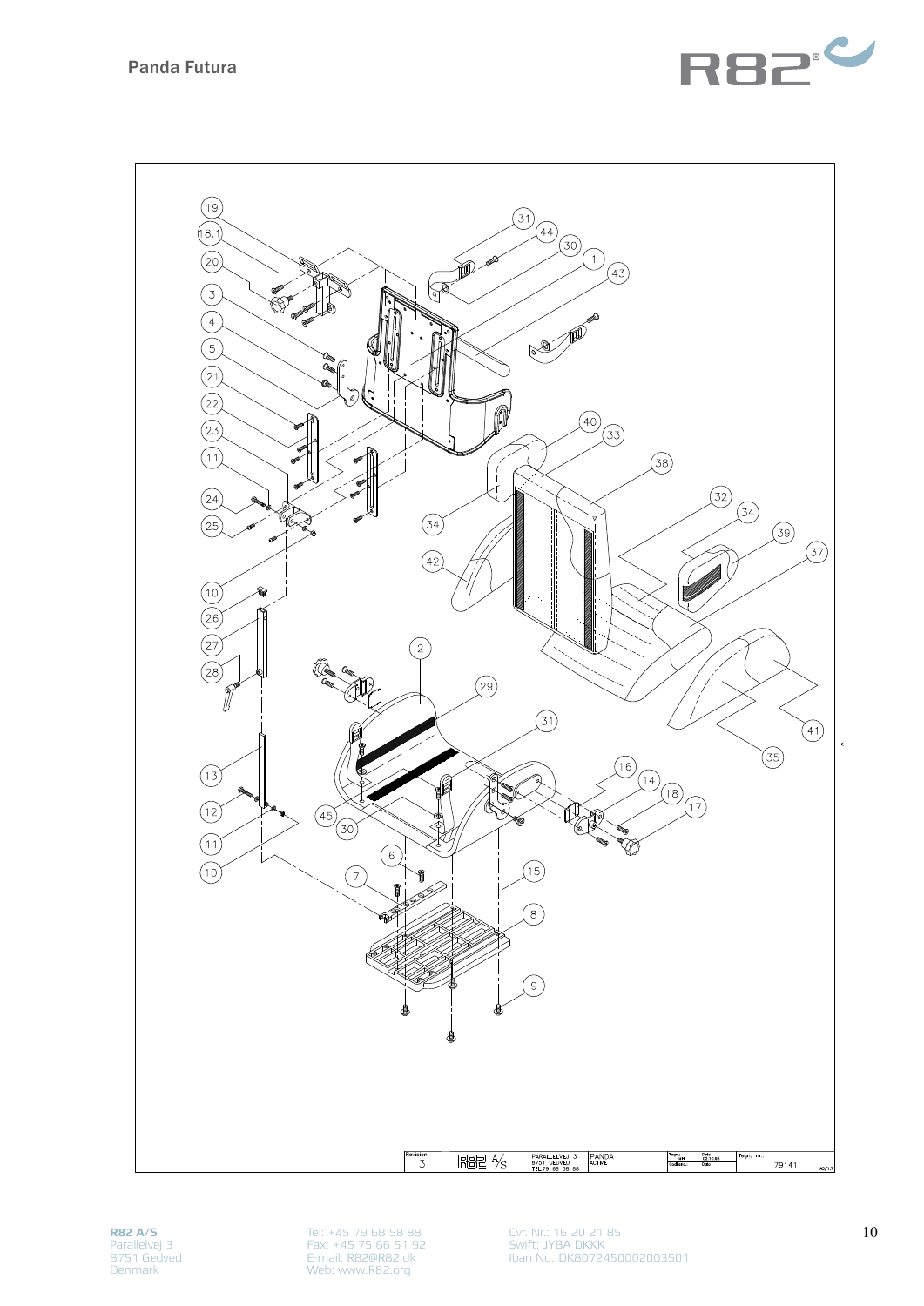



**R82 A/S** Parallelvej 3 8751 Gedved Denmark

Tel: +45 79 68 58 88 Fax: +45 75 66 51 92 E-mail: R82@R82.dk Web: www.R82.org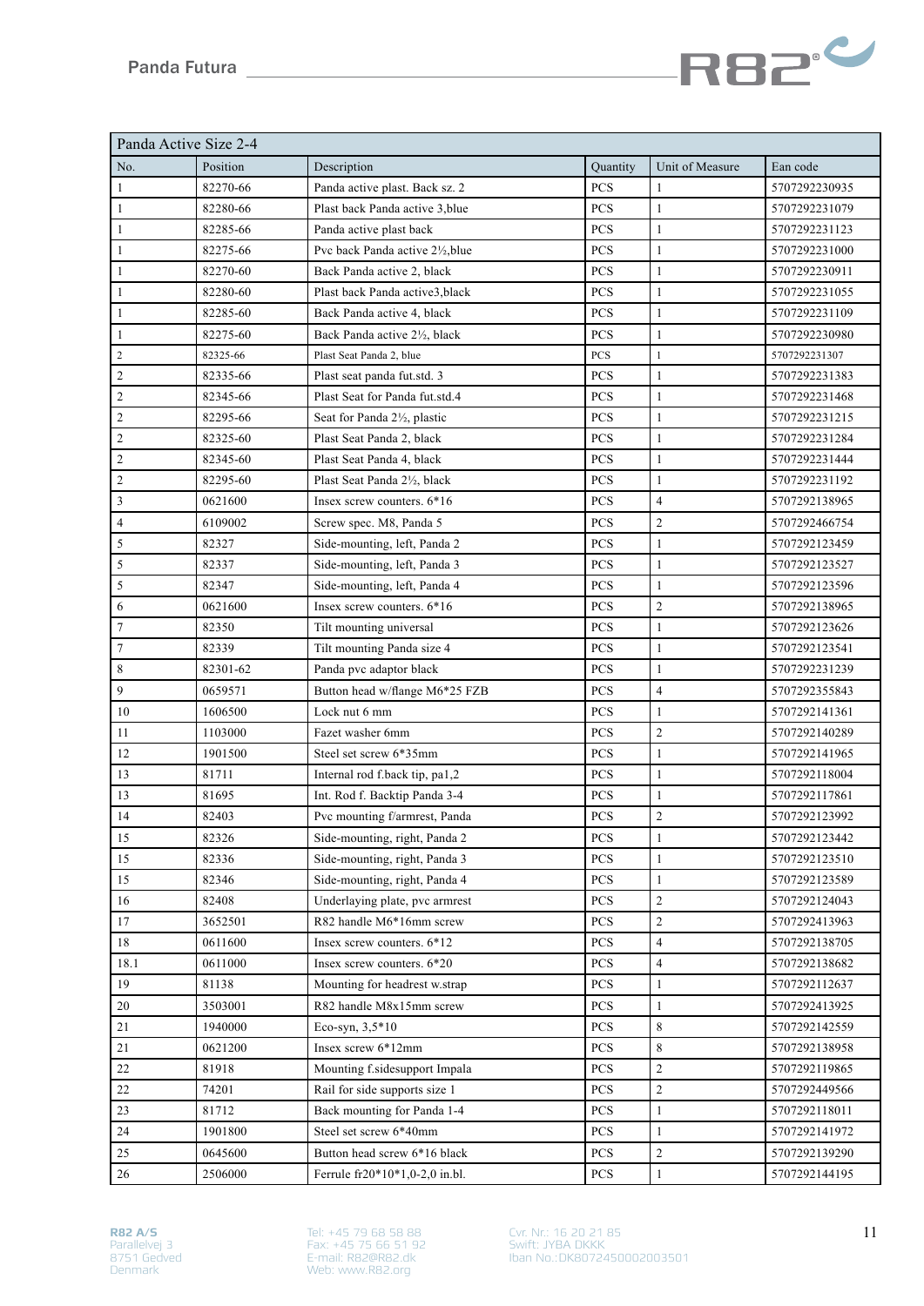

| Panda Active Size 2-4 |          |                                  |            |                 |               |
|-----------------------|----------|----------------------------------|------------|-----------------|---------------|
| No.                   | Position | Description                      | Quantity   | Unit of Measure | Ean code      |
| $\mathbf{1}$          | 82270-66 | Panda active plast. Back sz. 2   | <b>PCS</b> | $\mathbf{1}$    | 5707292230935 |
| $\mathbf{1}$          | 82280-66 | Plast back Panda active 3, blue  | PCS        | $\mathbf{1}$    | 5707292231079 |
| $\mathbf{1}$          | 82285-66 | Panda active plast back          | PCS        | $\mathbf{1}$    | 5707292231123 |
| $\mathbf{1}$          | 82275-66 | Pvc back Panda active 21/2, blue | PCS        | 1               | 5707292231000 |
| $\mathbf{1}$          | 82270-60 | Back Panda active 2, black       | PCS        | $\mathbf{1}$    | 5707292230911 |
| $\mathbf{1}$          | 82280-60 | Plast back Panda active3, black  | PCS        | $\mathbf{1}$    | 5707292231055 |
| $\mathbf{1}$          | 82285-60 | Back Panda active 4, black       | PCS        | $\mathbf{1}$    | 5707292231109 |
| $\mathbf{1}$          | 82275-60 | Back Panda active 21/2, black    | PCS        | $\mathbf{1}$    | 5707292230980 |
| $\overline{c}$        | 82325-66 | Plast Seat Panda 2, blue         | PCS        | $\mathbf{1}$    | 5707292231307 |
| 2                     | 82335-66 | Plast seat panda fut.std. 3      | PCS        | 1               | 5707292231383 |
| $\mathfrak{2}$        | 82345-66 | Plast Seat for Panda fut.std.4   | PCS        | $\mathbf{1}$    | 5707292231468 |
| $\overline{c}$        | 82295-66 | Seat for Panda 21/2, plastic     | PCS        | $\mathbf{1}$    | 5707292231215 |
| $\mathfrak{2}$        | 82325-60 | Plast Seat Panda 2, black        | PCS        | 1               | 5707292231284 |
| $\overline{c}$        | 82345-60 | Plast Seat Panda 4, black        | PCS        | 1               | 5707292231444 |
| $\mathfrak{2}$        | 82295-60 | Plast Seat Panda 21/2, black     | PCS        | 1               | 5707292231192 |
| 3                     | 0621600  | Insex screw counters. 6*16       | PCS        | $\overline{4}$  | 5707292138965 |
| 4                     | 6109002  | Screw spec. M8, Panda 5          | PCS        | $\overline{2}$  | 5707292466754 |
| 5                     | 82327    | Side-mounting, left, Panda 2     | PCS        | $\mathbf{1}$    | 5707292123459 |
| $\sqrt{5}$            | 82337    | Side-mounting, left, Panda 3     | PCS        | $\mathbf{1}$    | 5707292123527 |
| $\sqrt{5}$            | 82347    | Side-mounting, left, Panda 4     | PCS        | $\mathbf{1}$    | 5707292123596 |
| 6                     | 0621600  | Insex screw counters. $6*16$     | PCS        | $\overline{2}$  | 5707292138965 |
| $\tau$                | 82350    | Tilt mounting universal          | PCS        | $\mathbf{1}$    | 5707292123626 |
| $\tau$                | 82339    | Tilt mounting Panda size 4       | PCS        | $\mathbf{1}$    | 5707292123541 |
| $\,$ 8 $\,$           | 82301-62 | Panda pvc adaptor black          | PCS        | $\mathbf{1}$    | 5707292231239 |
| 9                     | 0659571  | Button head w/flange M6*25 FZB   | PCS        | $\overline{4}$  | 5707292355843 |
| 10                    | 1606500  | Lock nut 6 mm                    | PCS        | $\mathbf{1}$    | 5707292141361 |
| 11                    | 1103000  | Fazet washer 6mm                 | PCS        | $\mathfrak{2}$  | 5707292140289 |
| 12                    | 1901500  | Steel set screw 6*35mm           | PCS        | $\mathbf{1}$    | 5707292141965 |
| 13                    | 81711    | Internal rod f.back tip, pa1,2   | PCS        | 1               | 5707292118004 |
| 13                    | 81695    | Int. Rod f. Backtip Panda 3-4    | PCS        | $\mathbf{1}$    | 5707292117861 |
| 14                    | 82403    | Pvc mounting f/armrest, Panda    | PCS        | $\overline{c}$  | 5707292123992 |
| 15                    | 82326    | Side-mounting, right, Panda 2    | PCS        | $\mathbf{1}$    | 5707292123442 |
| 15                    | 82336    | Side-mounting, right, Panda 3    | PCS        | $\mathbf{1}$    | 5707292123510 |
| 15                    | 82346    | Side-mounting, right, Panda 4    | PCS        | 1               | 5707292123589 |
| 16                    | 82408    | Underlaying plate, pvc armrest   | PCS        | $\overline{2}$  | 5707292124043 |
| 17                    | 3652501  | R82 handle M6*16mm screw         | PCS        | $\overline{2}$  | 5707292413963 |
| 18                    | 0611600  | Insex screw counters. 6*12       | PCS        | $\overline{4}$  | 5707292138705 |
| 18.1                  | 0611000  | Insex screw counters. 6*20       | PCS        | 4               | 5707292138682 |
| 19                    | 81138    | Mounting for headrest w.strap    | PCS        | 1               | 5707292112637 |
| 20                    | 3503001  | R82 handle M8x15mm screw         | PCS        | 1               | 5707292413925 |
| 21                    | 1940000  | Eco-syn, $3,5*10$                | PCS        | 8               | 5707292142559 |
| 21                    | 0621200  | Insex screw 6*12mm               | PCS        | 8               | 5707292138958 |
| 22                    | 81918    | Mounting f.sidesupport Impala    | PCS        | $\overline{c}$  | 5707292119865 |
| 22                    | 74201    | Rail for side supports size 1    | PCS        | $\overline{c}$  | 5707292449566 |
| 23                    | 81712    | Back mounting for Panda 1-4      | PCS        | $\mathbf{1}$    | 5707292118011 |
| 24                    | 1901800  | Steel set screw 6*40mm           | PCS        | $\mathbf{1}$    | 5707292141972 |
| 25                    | 0645600  | Button head screw 6*16 black     | PCS        | $\overline{c}$  | 5707292139290 |
| 26                    | 2506000  | Ferrule fr20*10*1,0-2,0 in.bl.   | <b>PCS</b> | $\mathbf{1}$    | 5707292144195 |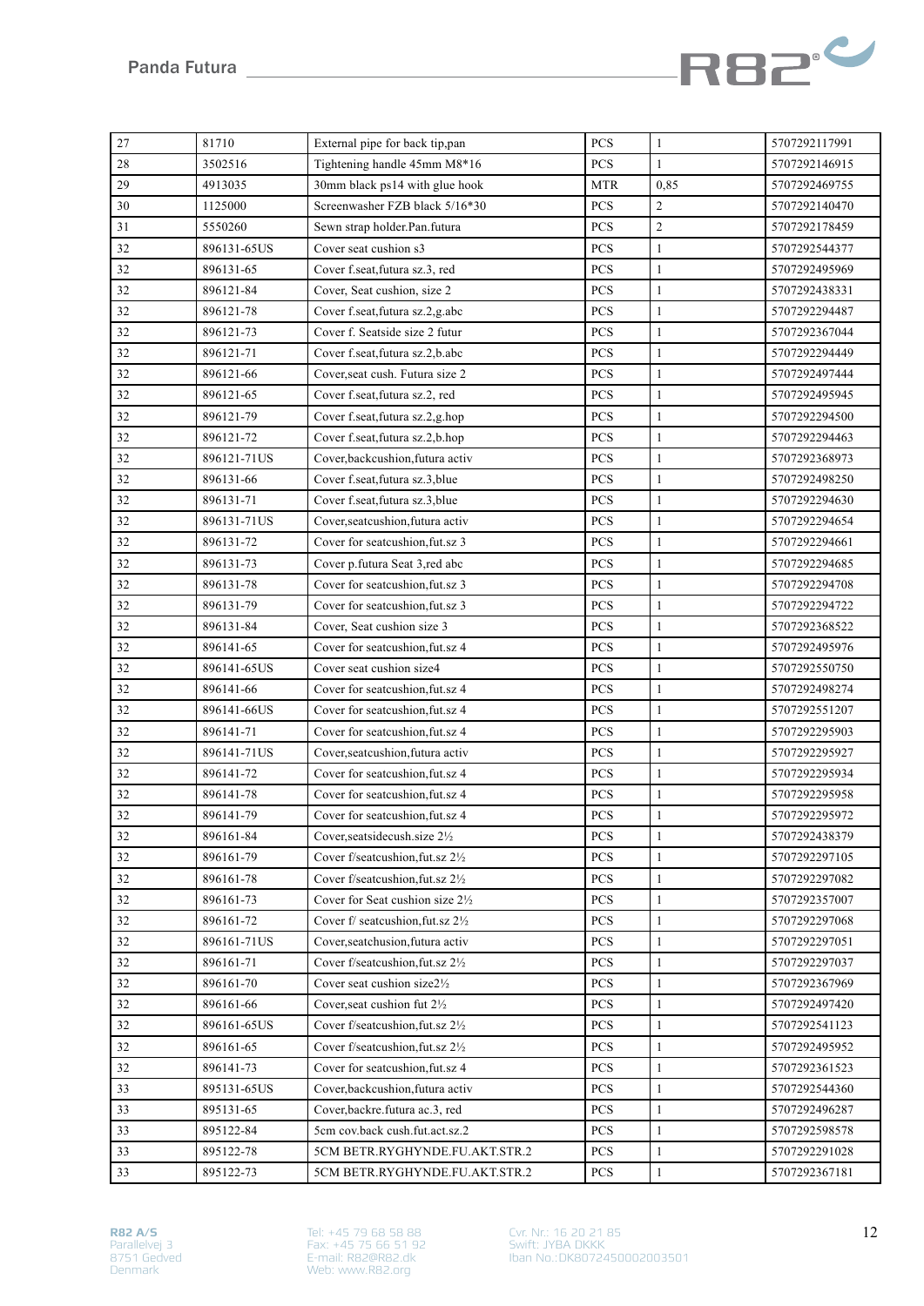

| $27\,$ | 81710       | External pipe for back tip,pan             | PCS        | 1              | 5707292117991 |
|--------|-------------|--------------------------------------------|------------|----------------|---------------|
| 28     | 3502516     | Tightening handle 45mm M8*16               | PCS        | 1              | 5707292146915 |
| 29     | 4913035     | 30mm black ps14 with glue hook             | <b>MTR</b> | 0,85           | 5707292469755 |
| 30     | 1125000     | Screenwasher FZB black 5/16*30             | PCS        | $\overline{c}$ | 5707292140470 |
| 31     | 5550260     | Sewn strap holder.Pan.futura               | PCS        | $\overline{c}$ | 5707292178459 |
| 32     | 896131-65US | Cover seat cushion s3                      | PCS        | $\mathbf{1}$   | 5707292544377 |
| 32     | 896131-65   | Cover f.seat, futura sz.3, red             | PCS        | $\mathbf{1}$   | 5707292495969 |
| 32     | 896121-84   | Cover, Seat cushion, size 2                | PCS        | $\mathbf{1}$   | 5707292438331 |
| 32     | 896121-78   | Cover f.seat, futura sz.2, g.abc           | PCS        | 1              | 5707292294487 |
| 32     | 896121-73   | Cover f. Seatside size 2 futur             | PCS        | 1              | 5707292367044 |
| 32     | 896121-71   | Cover f.seat, futura sz.2, b.abc           | PCS        | 1              | 5707292294449 |
| 32     | 896121-66   | Cover, seat cush. Futura size 2            | PCS        | 1              | 5707292497444 |
| 32     | 896121-65   | Cover f.seat, futura sz.2, red             | PCS        | 1              | 5707292495945 |
| 32     | 896121-79   | Cover f.seat, futura sz.2, g.hop           | PCS        | 1              | 5707292294500 |
| 32     | 896121-72   | Cover f.seat, futura sz.2, b.hop           | PCS        | 1              | 5707292294463 |
| 32     | 896121-71US | Cover, backcushion, futura activ           | PCS        | 1              | 5707292368973 |
| 32     | 896131-66   | Cover f.seat, futura sz.3, blue            | PCS        | 1              | 5707292498250 |
| 32     | 896131-71   | Cover f.seat, futura sz.3, blue            | PCS        | $\mathbf{1}$   | 5707292294630 |
| 32     | 896131-71US | Cover, seatcushion, futura activ           | PCS        | 1              | 5707292294654 |
| 32     | 896131-72   | Cover for seatcushion, fut.sz 3            | PCS        | $\mathbf{1}$   | 5707292294661 |
| 32     | 896131-73   | Cover p.futura Seat 3,red abc              | PCS        | $\mathbf{1}$   | 5707292294685 |
| 32     | 896131-78   | Cover for seatcushion, fut.sz 3            | PCS        | $\mathbf{1}$   | 5707292294708 |
| 32     | 896131-79   | Cover for seatcushion, fut.sz 3            | PCS        | $\mathbf{1}$   | 5707292294722 |
| 32     | 896131-84   | Cover, Seat cushion size 3                 | PCS        | $\mathbf{1}$   | 5707292368522 |
| 32     | 896141-65   | Cover for seatcushion, fut.sz 4            | PCS        | $\mathbf{1}$   | 5707292495976 |
| 32     | 896141-65US | Cover seat cushion size4                   | PCS        | $\mathbf{1}$   | 5707292550750 |
| 32     | 896141-66   | Cover for seatcushion, fut.sz 4            | PCS        | $\mathbf{1}$   | 5707292498274 |
| 32     | 896141-66US | Cover for seatcushion, fut.sz 4            | PCS        | $\mathbf{1}$   | 5707292551207 |
| 32     | 896141-71   | Cover for seatcushion, fut.sz 4            | PCS        | $\mathbf{1}$   | 5707292295903 |
| 32     | 896141-71US | Cover, seatcushion, futura activ           | PCS        | 1              | 5707292295927 |
| 32     | 896141-72   | Cover for seatcushion, fut.sz 4            | PCS        | $\mathbf{1}$   | 5707292295934 |
| 32     | 896141-78   | Cover for seatcushion.fut.sz 4             | PCS        | 1              | 5707292295958 |
| 32     | 896141-79   | Cover for seatcushion, fut.sz 4            | PCS        | 1              | 5707292295972 |
| 32     | 896161-84   | Cover, seatsidecush.size 21/2              | PCS        | $\mathbf{1}$   | 5707292438379 |
| 32     | 896161-79   | Cover f/seatcushion, fut.sz 21/2           | PCS        | $\mathbf{1}$   | 5707292297105 |
| 32     | 896161-78   | Cover f/seatcushion, fut.sz 21/2           | PCS        | $\mathbf{1}$   | 5707292297082 |
| 32     | 896161-73   | Cover for Seat cushion size 21/2           | PCS        | 1              | 5707292357007 |
| 32     | 896161-72   | Cover f/ seatcushion, fut.sz 21/2          | PCS        | $\mathbf{1}$   | 5707292297068 |
| 32     | 896161-71US | Cover, seatchusion, futura activ           | <b>PCS</b> | 1              | 5707292297051 |
| 32     | 896161-71   | Cover f/seatcushion, fut.sz $2\frac{1}{2}$ | PCS        | $\mathbf{1}$   | 5707292297037 |
| 32     | 896161-70   | Cover seat cushion size21/2                | <b>PCS</b> | 1              | 5707292367969 |
| 32     | 896161-66   | Cover, seat cushion fut 21/2               | PCS        | 1              | 5707292497420 |
| 32     | 896161-65US | Cover f/seatcushion, fut.sz 21/2           | <b>PCS</b> | 1              | 5707292541123 |
| 32     | 896161-65   | Cover f/seatcushion, fut.sz $2\frac{1}{2}$ | PCS        | 1              | 5707292495952 |
| 32     | 896141-73   | Cover for seatcushion, fut.sz 4            | PCS        | 1              | 5707292361523 |
| 33     | 895131-65US | Cover, backcushion, futura activ           | PCS        | $\mathbf{1}$   | 5707292544360 |
| 33     | 895131-65   | Cover, backre. futura ac. 3, red           | PCS        | 1              | 5707292496287 |
| 33     | 895122-84   | 5cm cov.back cush.fut.act.sz.2             | PCS        | 1              | 5707292598578 |
| 33     | 895122-78   | 5CM BETR.RYGHYNDE.FU.AKT.STR.2             | <b>PCS</b> | 1              | 5707292291028 |
| 33     | 895122-73   | 5CM BETR.RYGHYNDE.FU.AKT.STR.2             | PCS        | $\mathbf{1}$   | 5707292367181 |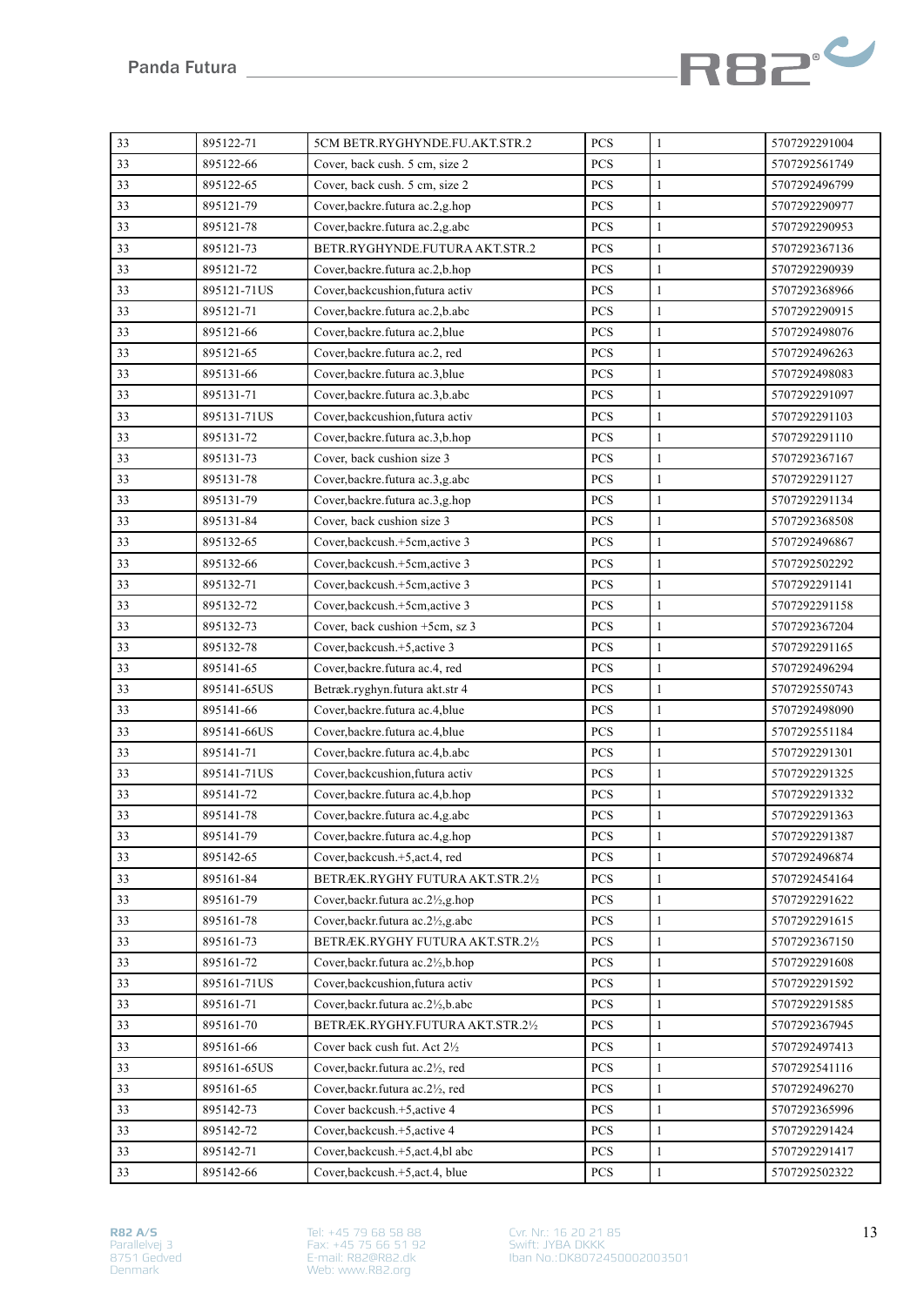

| 33 | 895122-71   | 5CM BETR.RYGHYNDE.FU.AKT.STR.2          | PCS        | $\mathbf{1}$ | 5707292291004 |
|----|-------------|-----------------------------------------|------------|--------------|---------------|
| 33 | 895122-66   | Cover, back cush. 5 cm, size 2          | PCS        | $\mathbf{1}$ | 5707292561749 |
| 33 | 895122-65   | Cover, back cush. 5 cm, size 2          | PCS        | $\mathbf{1}$ | 5707292496799 |
| 33 | 895121-79   | Cover, backre. futura ac.2, g.hop       | PCS        | $\mathbf{1}$ | 5707292290977 |
| 33 | 895121-78   | Cover, backre. futura ac.2, g.abc       | PCS        | $\mathbf{1}$ | 5707292290953 |
| 33 | 895121-73   | BETR.RYGHYNDE.FUTURA AKT.STR.2          | PCS        | $\mathbf{1}$ | 5707292367136 |
| 33 | 895121-72   | Cover, backre. futura ac. 2, b. hop     | PCS        | $\mathbf{1}$ | 5707292290939 |
| 33 | 895121-71US | Cover, backcushion, futura activ        | PCS        | $\mathbf{1}$ | 5707292368966 |
| 33 | 895121-71   | Cover, backre. futura ac. 2, b. abc     | PCS        | $\mathbf{1}$ | 5707292290915 |
| 33 | 895121-66   | Cover, backre. futura ac. 2, blue       | PCS        | 1            | 5707292498076 |
| 33 | 895121-65   | Cover, backre. futura ac.2, red         | PCS        | $\mathbf{1}$ | 5707292496263 |
| 33 | 895131-66   | Cover, backre. futura ac. 3, blue       | PCS        | $\mathbf{1}$ | 5707292498083 |
| 33 | 895131-71   | Cover, backre. futura ac.3, b.abc       | PCS        | $\mathbf{1}$ | 5707292291097 |
| 33 | 895131-71US | Cover, backcushion, futura activ        | PCS        | $\mathbf{1}$ | 5707292291103 |
| 33 | 895131-72   | Cover, backre. futura ac.3, b.hop       | PCS        | $\mathbf{1}$ | 5707292291110 |
| 33 | 895131-73   | Cover, back cushion size 3              | PCS        | $\mathbf{1}$ | 5707292367167 |
| 33 | 895131-78   | Cover, backre. futura ac.3, g.abc       | PCS        | $\mathbf{1}$ | 5707292291127 |
| 33 | 895131-79   | Cover, backre. futura ac.3, g.hop       | PCS        | $\mathbf{1}$ | 5707292291134 |
| 33 | 895131-84   | Cover, back cushion size 3              | PCS        | $\mathbf{1}$ | 5707292368508 |
| 33 | 895132-65   | Cover, backcush.+5cm, active 3          | PCS        | $\mathbf{1}$ | 5707292496867 |
| 33 | 895132-66   | Cover, backcush.+5cm, active 3          | PCS        | $\mathbf{1}$ | 5707292502292 |
| 33 | 895132-71   | Cover, backcush.+5cm, active 3          | PCS        | $\mathbf{1}$ | 5707292291141 |
| 33 | 895132-72   | Cover, backcush.+5cm, active 3          | PCS        | $\mathbf{1}$ | 5707292291158 |
| 33 | 895132-73   | Cover, back cushion +5cm, sz 3          | PCS        | $\mathbf{1}$ | 5707292367204 |
| 33 | 895132-78   | Cover, backcush. +5, active 3           | PCS        | $\mathbf{1}$ | 5707292291165 |
| 33 | 895141-65   | Cover, backre. futura ac. 4, red        | PCS        | $\mathbf{1}$ | 5707292496294 |
| 33 | 895141-65US | Betræk.ryghyn.futura akt.str 4          | PCS        | $\mathbf{1}$ | 5707292550743 |
| 33 | 895141-66   | Cover, backre. futura ac. 4, blue       | PCS        | $\mathbf{1}$ | 5707292498090 |
| 33 | 895141-66US | Cover, backre. futura ac. 4, blue       | PCS        | $\mathbf{1}$ | 5707292551184 |
| 33 | 895141-71   | Cover, backre. futura ac. 4, b. abc     | PCS        | $\mathbf{1}$ | 5707292291301 |
| 33 | 895141-71US | Cover, backcushion, futura activ        | PCS        | $\mathbf{1}$ | 5707292291325 |
| 33 | 895141-72   | Cover, backre. futura ac. 4, b. hop     | PCS        | $\mathbf{1}$ | 5707292291332 |
| 33 | 895141-78   | Cover, backre. futura ac. 4, g. abc     | PCS        | $\mathbf{1}$ | 5707292291363 |
| 33 | 895141-79   | Cover, backre. futura ac. 4, g. hop     | PCS        | 1            | 5707292291387 |
| 33 | 895142-65   | Cover, backcush.+5, act.4, red          | PCS        | $\mathbf{1}$ | 5707292496874 |
| 33 | 895161-84   | BETRÆK.RYGHY FUTURA AKT.STR.21/2        | PCS        | $\mathbf{1}$ | 5707292454164 |
| 33 | 895161-79   | Cover, backr. futura ac. 21/2, g. hop   | <b>PCS</b> | 1            | 5707292291622 |
| 33 | 895161-78   | Cover, backr. futura ac. 21/2, g. abc   | <b>PCS</b> | $\mathbf{1}$ | 5707292291615 |
| 33 | 895161-73   | BETRÆK.RYGHY FUTURA AKT.STR.21/2        | PCS        | 1            | 5707292367150 |
| 33 | 895161-72   | Cover, backr.futura ac.21/2, b.hop      | PCS        | $\mathbf{1}$ | 5707292291608 |
| 33 | 895161-71US | Cover, backcushion, futura activ        | PCS        | 1            | 5707292291592 |
| 33 | 895161-71   | Cover, backr. futura ac. 21/2, b.abc    | <b>PCS</b> | $\mathbf{1}$ | 5707292291585 |
| 33 | 895161-70   | BETRÆK.RYGHY.FUTURA AKT.STR.21/2        | PCS        | $\mathbf{1}$ | 5707292367945 |
| 33 | 895161-66   | Cover back cush fut. Act $2\frac{1}{2}$ | PCS        | $\mathbf{1}$ | 5707292497413 |
| 33 | 895161-65US | Cover, backr. futura ac. 21/2, red      | <b>PCS</b> | 1            | 5707292541116 |
| 33 | 895161-65   | Cover, backr. futura ac. 21/2, red      | <b>PCS</b> | $\mathbf{1}$ | 5707292496270 |
| 33 | 895142-73   | Cover backcush.+5, active 4             | <b>PCS</b> | $\mathbf{1}$ | 5707292365996 |
| 33 | 895142-72   | Cover, backcush.+5, active 4            | <b>PCS</b> | $\mathbf{1}$ | 5707292291424 |
| 33 | 895142-71   | Cover, backcush. +5, act. 4, bl abc     | <b>PCS</b> | $\mathbf{1}$ | 5707292291417 |
| 33 | 895142-66   | Cover, backcush. +5, act. 4, blue       | <b>PCS</b> | $\mathbf{1}$ | 5707292502322 |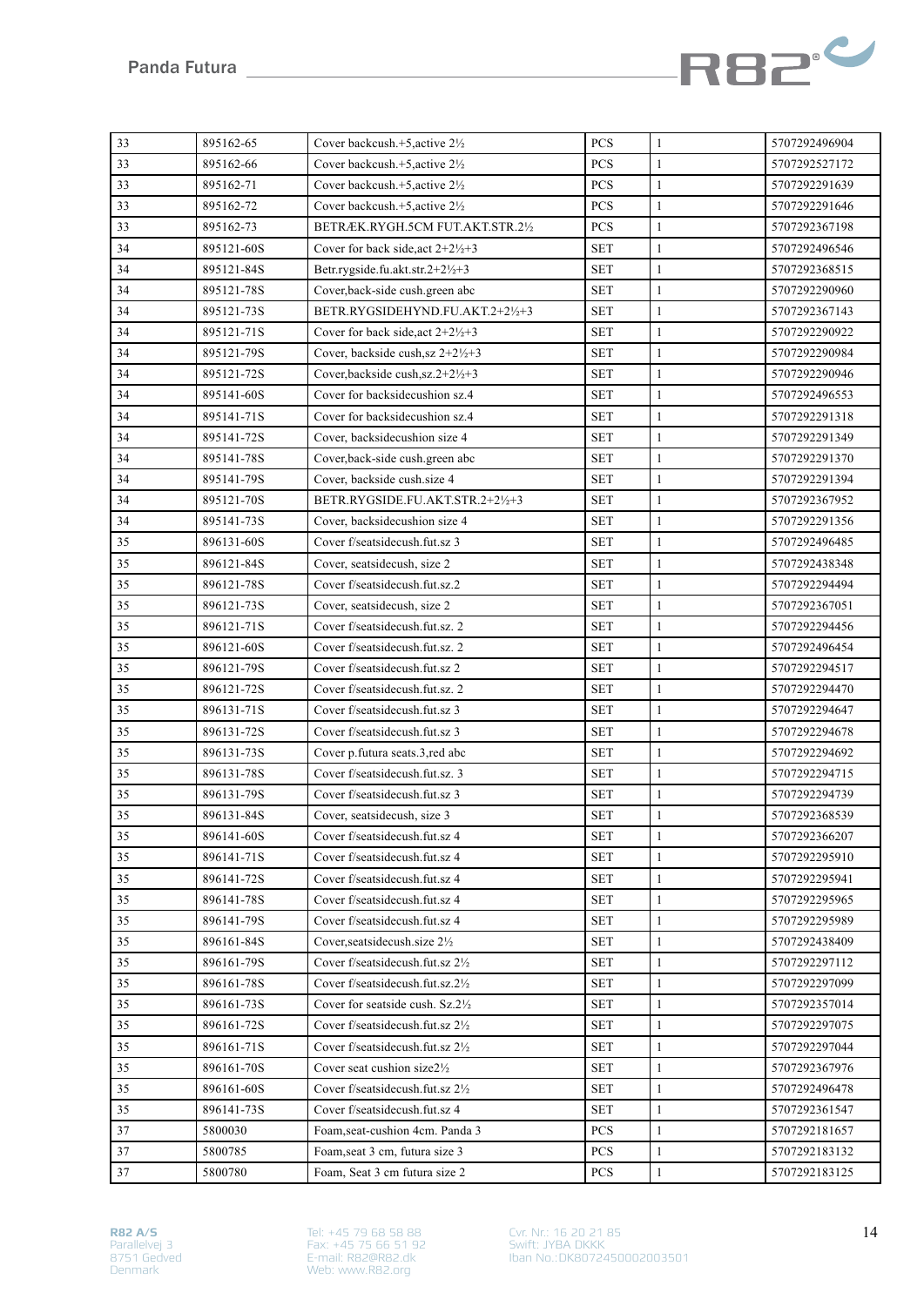

| 33 | 895162-65  | Cover backcush.+5.active 21/2                | PCS        | $\mathbf{1}$ | 5707292496904 |
|----|------------|----------------------------------------------|------------|--------------|---------------|
| 33 | 895162-66  | Cover backcush.+5, active 21/2               | <b>PCS</b> | $\mathbf{1}$ | 5707292527172 |
| 33 | 895162-71  | Cover backcush. $+5$ , active $2\frac{1}{2}$ | PCS        | $\mathbf{1}$ | 5707292291639 |
| 33 | 895162-72  | Cover backcush.+5, active 21/2               | PCS        | $\mathbf{1}$ | 5707292291646 |
| 33 | 895162-73  | BETRÆK.RYGH.5CM FUT.AKT.STR.21/2             | PCS        | $\mathbf{1}$ | 5707292367198 |
| 34 | 895121-60S | Cover for back side, act $2+2\frac{1}{2}+3$  | <b>SET</b> | $\mathbf{1}$ | 5707292496546 |
| 34 | 895121-84S | Betr.rygside.fu.akt.str.2+2½+3               | <b>SET</b> | $\mathbf{1}$ | 5707292368515 |
| 34 | 895121-78S | Cover, back-side cush.green abc              | <b>SET</b> | $\mathbf{1}$ | 5707292290960 |
| 34 | 895121-73S | BETR.RYGSIDEHYND.FU.AKT.2+21/2+3             | SET        | $\mathbf{1}$ | 5707292367143 |
| 34 | 895121-71S | Cover for back side, act $2+2\frac{1}{2}+3$  | <b>SET</b> | $\mathbf{1}$ | 5707292290922 |
| 34 | 895121-79S | Cover, backside cush, sz 2+2½+3              | <b>SET</b> | $\mathbf{1}$ | 5707292290984 |
| 34 | 895121-72S | Cover, backside cush, sz. 2+21/2+3           | <b>SET</b> | $\mathbf{1}$ | 5707292290946 |
| 34 | 895141-60S | Cover for backsidecushion sz.4               | <b>SET</b> | $\mathbf{1}$ | 5707292496553 |
| 34 | 895141-71S | Cover for backsidecushion sz.4               | <b>SET</b> | $\mathbf{1}$ | 5707292291318 |
| 34 | 895141-72S | Cover, backsidecushion size 4                | <b>SET</b> | $\mathbf{1}$ | 5707292291349 |
| 34 | 895141-78S | Cover, back-side cush.green abc              | <b>SET</b> | $\mathbf{1}$ | 5707292291370 |
| 34 | 895141-79S | Cover, backside cush.size 4                  | <b>SET</b> | $\mathbf{1}$ | 5707292291394 |
| 34 | 895121-70S | BETR.RYGSIDE.FU.AKT.STR.2+2½+3               | <b>SET</b> | $\mathbf{1}$ | 5707292367952 |
| 34 | 895141-73S | Cover, backsidecushion size 4                | <b>SET</b> | $\mathbf{1}$ | 5707292291356 |
| 35 | 896131-60S | Cover f/seatsidecush.fut.sz 3                | <b>SET</b> | $\mathbf{1}$ | 5707292496485 |
| 35 | 896121-84S | Cover, seatsidecush, size 2                  | <b>SET</b> | $\mathbf{1}$ | 5707292438348 |
| 35 | 896121-78S | Cover f/seatsidecush.fut.sz.2                | <b>SET</b> | $\mathbf{1}$ | 5707292294494 |
| 35 | 896121-73S | Cover, seatsidecush, size 2                  | <b>SET</b> | $\mathbf{1}$ | 5707292367051 |
| 35 | 896121-71S | Cover f/seatsidecush.fut.sz. 2               | <b>SET</b> | $\mathbf{1}$ | 5707292294456 |
| 35 | 896121-60S | Cover f/seatsidecush.fut.sz. 2               | <b>SET</b> | $\mathbf{1}$ | 5707292496454 |
| 35 | 896121-79S | Cover f/seatsidecush.fut.sz 2                | <b>SET</b> | 1            | 5707292294517 |
| 35 | 896121-72S | Cover f/seatsidecush.fut.sz. 2               | <b>SET</b> | $\mathbf{1}$ | 5707292294470 |
| 35 | 896131-71S | Cover f/seatsidecush.fut.sz 3                | <b>SET</b> | $\mathbf{1}$ | 5707292294647 |
| 35 | 896131-72S | Cover f/seatsidecush.fut.sz 3                | SET        | $\mathbf{1}$ | 5707292294678 |
| 35 | 896131-73S | Cover p.futura seats.3,red abc               | <b>SET</b> | $\mathbf{1}$ | 5707292294692 |
| 35 | 896131-78S | Cover f/seatsidecush.fut.sz. 3               | <b>SET</b> | $\mathbf{1}$ | 5707292294715 |
| 35 | 896131-79S | Cover f/seatsidecush.fut.sz 3                | <b>SET</b> | $\mathbf{1}$ | 5707292294739 |
| 35 | 896131-84S | Cover, seatsidecush, size 3                  | <b>SET</b> | $\mathbf{1}$ | 5707292368539 |
| 35 | 896141-60S | Cover f/seatsidecush.fut.sz 4                | <b>SET</b> | $\mathbf{1}$ | 5707292366207 |
| 35 | 896141-71S | Cover f/seatsidecush.fut.sz 4                | <b>SET</b> | $\mathbf{1}$ | 5707292295910 |
| 35 | 896141-72S | Cover f/seatsidecush.fut.sz 4                | <b>SET</b> | $\mathbf{1}$ | 5707292295941 |
| 35 | 896141-78S | Cover f/seatsidecush.fut.sz 4                | SET        | 1            | 5707292295965 |
| 35 | 896141-79S | Cover f/seatsidecush.fut.sz 4                | <b>SET</b> | $\mathbf{1}$ | 5707292295989 |
| 35 | 896161-84S | Cover, seatsidecush.size 21/2                | <b>SET</b> | $\mathbf{1}$ | 5707292438409 |
| 35 | 896161-79S | Cover f/seatsidecush.fut.sz 21/2             | <b>SET</b> | $\mathbf{1}$ | 5707292297112 |
| 35 | 896161-78S | Cover f/seatsidecush.fut.sz.21/2             | <b>SET</b> | $\mathbf{1}$ | 5707292297099 |
| 35 | 896161-73S | Cover for seatside cush. Sz.21/2             | <b>SET</b> | $\mathbf{1}$ | 5707292357014 |
| 35 | 896161-72S | Cover f/seatsidecush.fut.sz 21/2             | <b>SET</b> | $\mathbf{1}$ | 5707292297075 |
| 35 | 896161-71S | Cover f/seatsidecush.fut.sz 21/2             | SET        | $\mathbf{1}$ | 5707292297044 |
| 35 | 896161-70S | Cover seat cushion size21/2                  | <b>SET</b> | 1            | 5707292367976 |
| 35 | 896161-60S | Cover f/seatsidecush.fut.sz 21/2             | SET        | $\mathbf{1}$ | 5707292496478 |
| 35 | 896141-73S | Cover f/seatsidecush.fut.sz 4                | <b>SET</b> | $\mathbf{1}$ | 5707292361547 |
| 37 | 5800030    | Foam, seat-cushion 4cm. Panda 3              | PCS        | $\mathbf{1}$ | 5707292181657 |
| 37 | 5800785    | Foam, seat 3 cm, futura size 3               | PCS        | $\mathbf{1}$ | 5707292183132 |
| 37 | 5800780    | Foam, Seat 3 cm futura size 2                | PCS        | $\mathbf{1}$ | 5707292183125 |